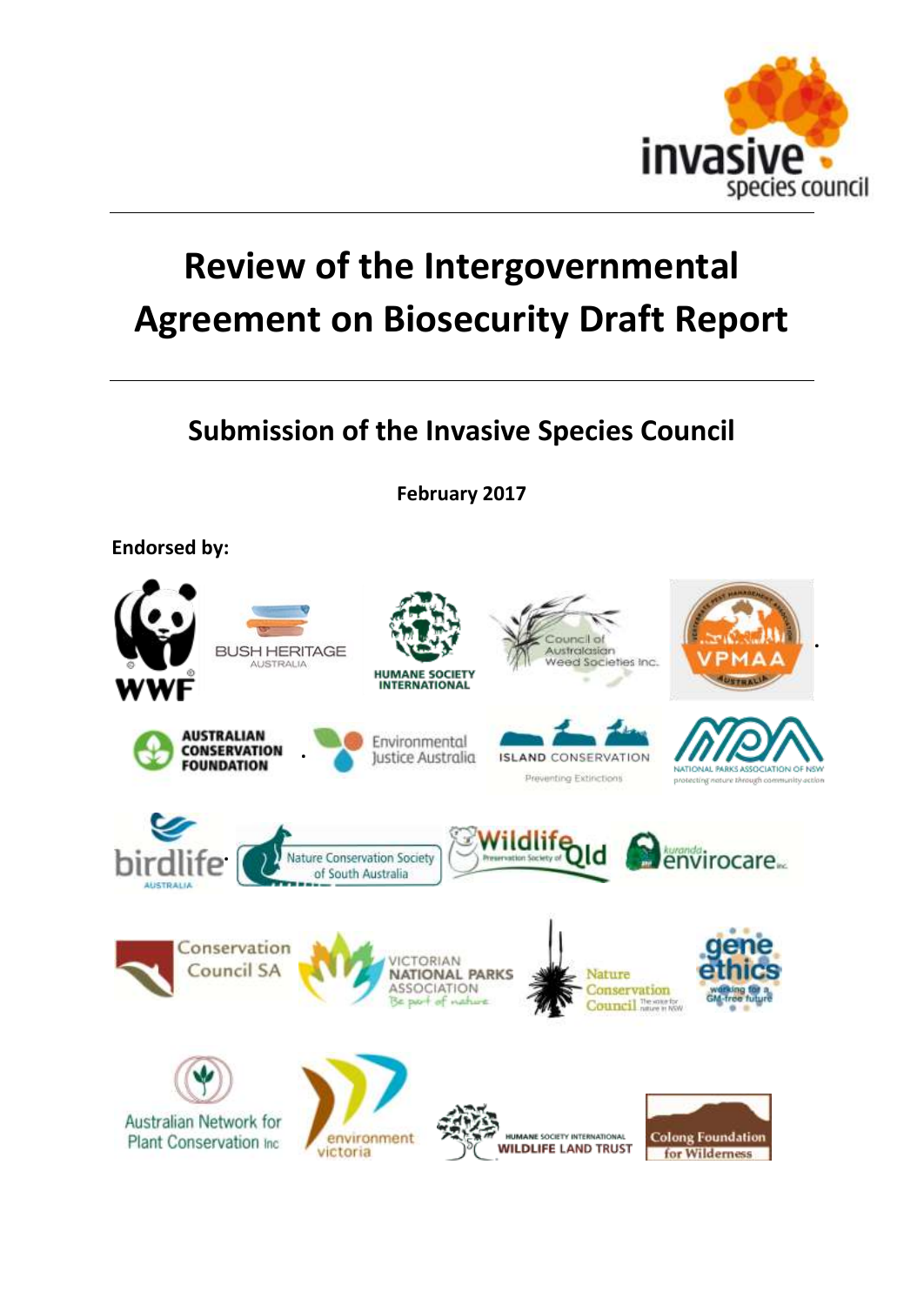

# **Review of the Intergovernmental Agreement on Biosecurity Draft Report**

# **Submission of the Invasive Species Council**

**February 2017**

**Endorsed by:**

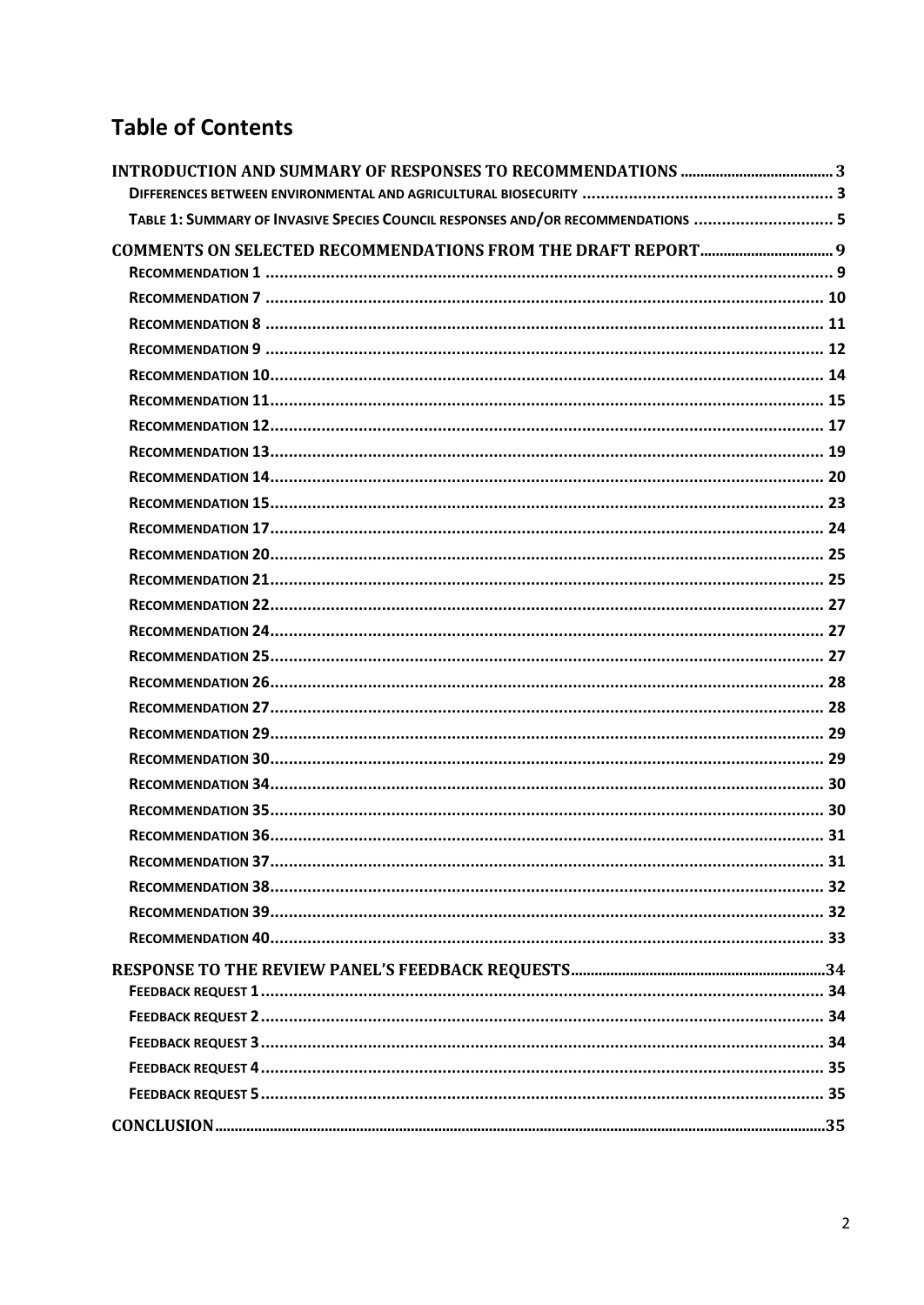# **Table of Contents**

| TABLE 1: SUMMARY OF INVASIVE SPECIES COUNCIL RESPONSES AND/OR RECOMMENDATIONS  5 |  |
|----------------------------------------------------------------------------------|--|
|                                                                                  |  |
|                                                                                  |  |
|                                                                                  |  |
|                                                                                  |  |
|                                                                                  |  |
|                                                                                  |  |
|                                                                                  |  |
|                                                                                  |  |
|                                                                                  |  |
|                                                                                  |  |
|                                                                                  |  |
|                                                                                  |  |
|                                                                                  |  |
|                                                                                  |  |
|                                                                                  |  |
|                                                                                  |  |
|                                                                                  |  |
|                                                                                  |  |
|                                                                                  |  |
|                                                                                  |  |
|                                                                                  |  |
|                                                                                  |  |
|                                                                                  |  |
|                                                                                  |  |
|                                                                                  |  |
|                                                                                  |  |
|                                                                                  |  |
|                                                                                  |  |
|                                                                                  |  |
|                                                                                  |  |
|                                                                                  |  |
|                                                                                  |  |
|                                                                                  |  |
|                                                                                  |  |
|                                                                                  |  |
|                                                                                  |  |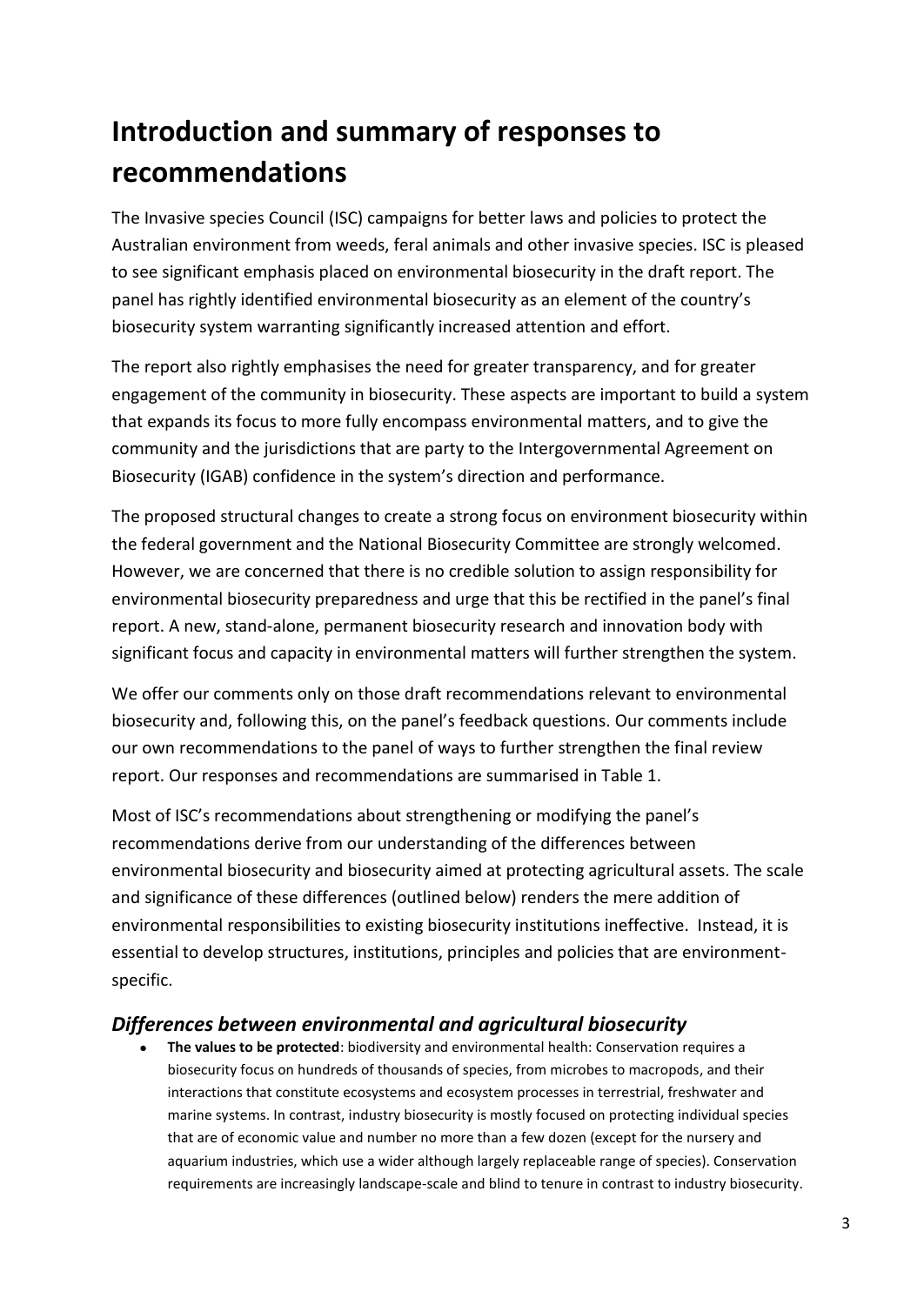# <span id="page-2-0"></span>**Introduction and summary of responses to recommendations**

The Invasive species Council (ISC) campaigns for better laws and policies to protect the Australian environment from weeds, feral animals and other invasive species. ISC is pleased to see significant emphasis placed on environmental biosecurity in the draft report. The panel has rightly identified environmental biosecurity as an element of the country's biosecurity system warranting significantly increased attention and effort.

The report also rightly emphasises the need for greater transparency, and for greater engagement of the community in biosecurity. These aspects are important to build a system that expands its focus to more fully encompass environmental matters, and to give the community and the jurisdictions that are party to the Intergovernmental Agreement on Biosecurity (IGAB) confidence in the system's direction and performance.

The proposed structural changes to create a strong focus on environment biosecurity within the federal government and the National Biosecurity Committee are strongly welcomed. However, we are concerned that there is no credible solution to assign responsibility for environmental biosecurity preparedness and urge that this be rectified in the panel's final report. A new, stand-alone, permanent biosecurity research and innovation body with significant focus and capacity in environmental matters will further strengthen the system.

We offer our comments only on those draft recommendations relevant to environmental biosecurity and, following this, on the panel's feedback questions. Our comments include our own recommendations to the panel of ways to further strengthen the final review report. Our responses and recommendations are summarised in Table 1.

Most of ISC's recommendations about strengthening or modifying the panel's recommendations derive from our understanding of the differences between environmental biosecurity and biosecurity aimed at protecting agricultural assets. The scale and significance of these differences (outlined below) renders the mere addition of environmental responsibilities to existing biosecurity institutions ineffective. Instead, it is essential to develop structures, institutions, principles and policies that are environmentspecific.

#### <span id="page-2-1"></span>*Differences between environmental and agricultural biosecurity*

 **The values to be protected**: biodiversity and environmental health: Conservation requires a biosecurity focus on hundreds of thousands of species, from microbes to macropods, and their interactions that constitute ecosystems and ecosystem processes in terrestrial, freshwater and marine systems. In contrast, industry biosecurity is mostly focused on protecting individual species that are of economic value and number no more than a few dozen (except for the nursery and aquarium industries, which use a wider although largely replaceable range of species). Conservation requirements are increasingly landscape-scale and blind to tenure in contrast to industry biosecurity.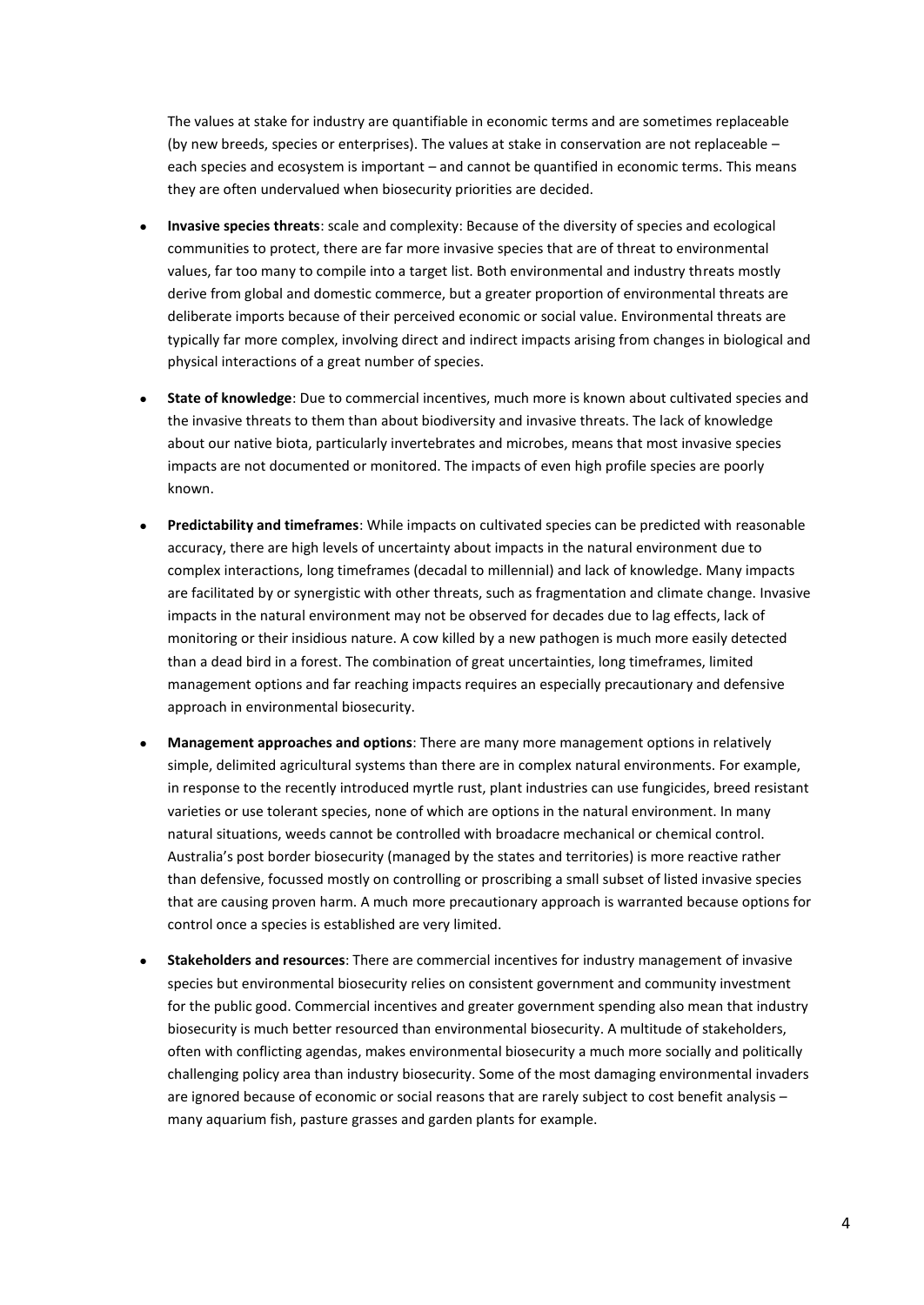The values at stake for industry are quantifiable in economic terms and are sometimes replaceable (by new breeds, species or enterprises). The values at stake in conservation are not replaceable – each species and ecosystem is important – and cannot be quantified in economic terms. This means they are often undervalued when biosecurity priorities are decided.

- **Invasive species threats**: scale and complexity: Because of the diversity of species and ecological communities to protect, there are far more invasive species that are of threat to environmental values, far too many to compile into a target list. Both environmental and industry threats mostly derive from global and domestic commerce, but a greater proportion of environmental threats are deliberate imports because of their perceived economic or social value. Environmental threats are typically far more complex, involving direct and indirect impacts arising from changes in biological and physical interactions of a great number of species.
- **State of knowledge**: Due to commercial incentives, much more is known about cultivated species and the invasive threats to them than about biodiversity and invasive threats. The lack of knowledge about our native biota, particularly invertebrates and microbes, means that most invasive species impacts are not documented or monitored. The impacts of even high profile species are poorly known.
- **Predictability and timeframes**: While impacts on cultivated species can be predicted with reasonable accuracy, there are high levels of uncertainty about impacts in the natural environment due to complex interactions, long timeframes (decadal to millennial) and lack of knowledge. Many impacts are facilitated by or synergistic with other threats, such as fragmentation and climate change. Invasive impacts in the natural environment may not be observed for decades due to lag effects, lack of monitoring or their insidious nature. A cow killed by a new pathogen is much more easily detected than a dead bird in a forest. The combination of great uncertainties, long timeframes, limited management options and far reaching impacts requires an especially precautionary and defensive approach in environmental biosecurity.
- **Management approaches and options**: There are many more management options in relatively simple, delimited agricultural systems than there are in complex natural environments. For example, in response to the recently introduced myrtle rust, plant industries can use fungicides, breed resistant varieties or use tolerant species, none of which are options in the natural environment. In many natural situations, weeds cannot be controlled with broadacre mechanical or chemical control. Australia's post border biosecurity (managed by the states and territories) is more reactive rather than defensive, focussed mostly on controlling or proscribing a small subset of listed invasive species that are causing proven harm. A much more precautionary approach is warranted because options for control once a species is established are very limited.
- **Stakeholders and resources**: There are commercial incentives for industry management of invasive species but environmental biosecurity relies on consistent government and community investment for the public good. Commercial incentives and greater government spending also mean that industry biosecurity is much better resourced than environmental biosecurity. A multitude of stakeholders, often with conflicting agendas, makes environmental biosecurity a much more socially and politically challenging policy area than industry biosecurity. Some of the most damaging environmental invaders are ignored because of economic or social reasons that are rarely subject to cost benefit analysis – many aquarium fish, pasture grasses and garden plants for example.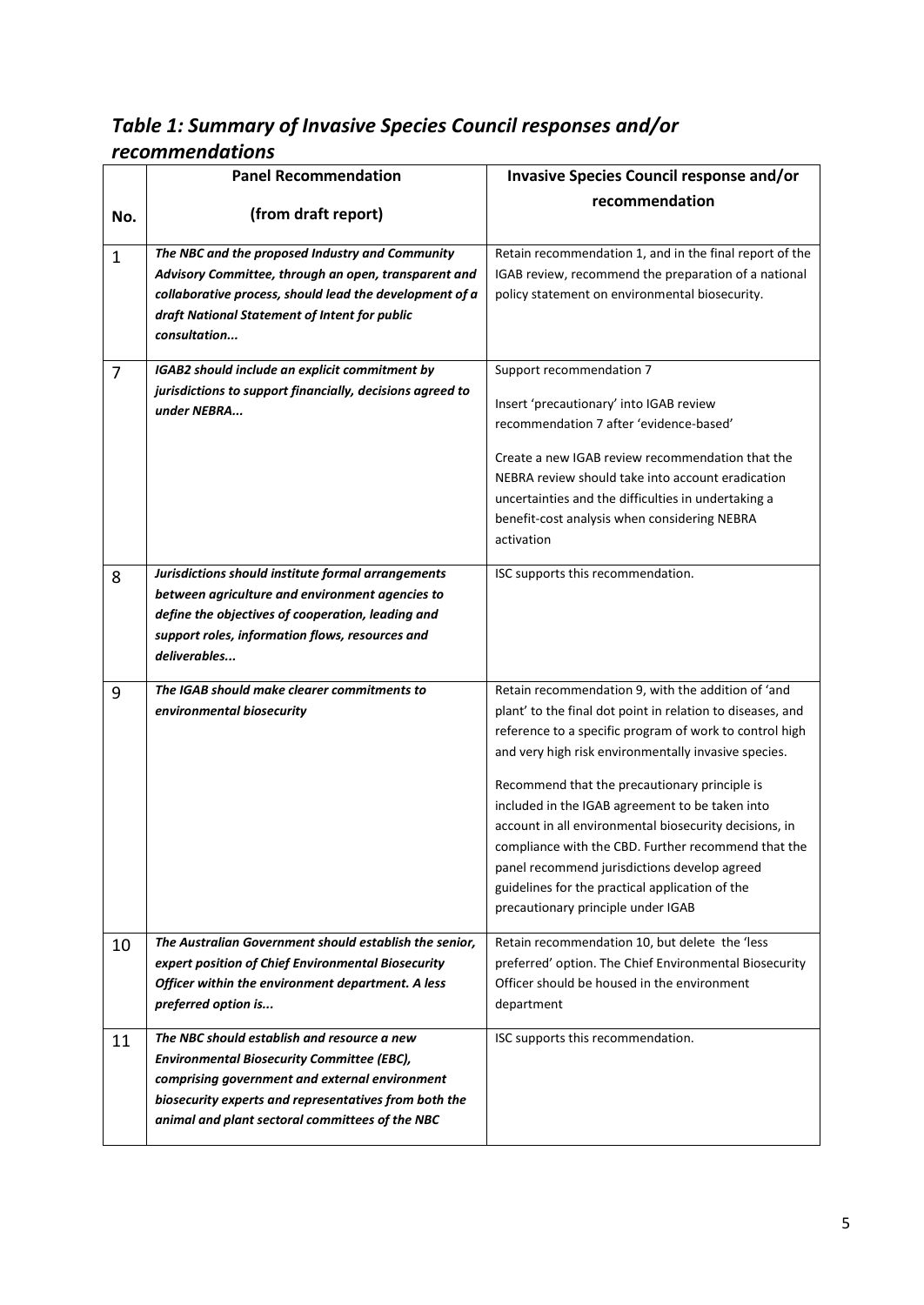## <span id="page-4-0"></span>*Table 1: Summary of Invasive Species Council responses and/or recommendations*

|                | <b>Panel Recommendation</b>                               | Invasive Species Council response and/or                                                        |
|----------------|-----------------------------------------------------------|-------------------------------------------------------------------------------------------------|
|                |                                                           | recommendation                                                                                  |
| No.            | (from draft report)                                       |                                                                                                 |
| $\mathbf{1}$   | The NBC and the proposed Industry and Community           | Retain recommendation 1, and in the final report of the                                         |
|                | Advisory Committee, through an open, transparent and      | IGAB review, recommend the preparation of a national                                            |
|                | collaborative process, should lead the development of a   | policy statement on environmental biosecurity.                                                  |
|                | draft National Statement of Intent for public             |                                                                                                 |
|                | consultation                                              |                                                                                                 |
| $\overline{7}$ | IGAB2 should include an explicit commitment by            | Support recommendation 7                                                                        |
|                | jurisdictions to support financially, decisions agreed to |                                                                                                 |
|                | under NEBRA                                               | Insert 'precautionary' into IGAB review                                                         |
|                |                                                           | recommendation 7 after 'evidence-based'                                                         |
|                |                                                           | Create a new IGAB review recommendation that the                                                |
|                |                                                           | NEBRA review should take into account eradication                                               |
|                |                                                           | uncertainties and the difficulties in undertaking a                                             |
|                |                                                           | benefit-cost analysis when considering NEBRA                                                    |
|                |                                                           | activation                                                                                      |
| 8              | Jurisdictions should institute formal arrangements        | ISC supports this recommendation.                                                               |
|                | between agriculture and environment agencies to           |                                                                                                 |
|                | define the objectives of cooperation, leading and         |                                                                                                 |
|                | support roles, information flows, resources and           |                                                                                                 |
|                | deliverables                                              |                                                                                                 |
| 9              | The IGAB should make clearer commitments to               | Retain recommendation 9, with the addition of 'and                                              |
|                | environmental biosecurity                                 | plant' to the final dot point in relation to diseases, and                                      |
|                |                                                           | reference to a specific program of work to control high                                         |
|                |                                                           | and very high risk environmentally invasive species.                                            |
|                |                                                           |                                                                                                 |
|                |                                                           | Recommend that the precautionary principle is                                                   |
|                |                                                           | included in the IGAB agreement to be taken into                                                 |
|                |                                                           | account in all environmental biosecurity decisions, in                                          |
|                |                                                           | compliance with the CBD. Further recommend that the                                             |
|                |                                                           | panel recommend jurisdictions develop agreed<br>guidelines for the practical application of the |
|                |                                                           | precautionary principle under IGAB                                                              |
|                |                                                           |                                                                                                 |
| 10             | The Australian Government should establish the senior,    | Retain recommendation 10, but delete the 'less                                                  |
|                | expert position of Chief Environmental Biosecurity        | preferred' option. The Chief Environmental Biosecurity                                          |
|                | Officer within the environment department. A less         | Officer should be housed in the environment                                                     |
|                | preferred option is                                       | department                                                                                      |
| 11             | The NBC should establish and resource a new               | ISC supports this recommendation.                                                               |
|                | <b>Environmental Biosecurity Committee (EBC),</b>         |                                                                                                 |
|                | comprising government and external environment            |                                                                                                 |
|                | biosecurity experts and representatives from both the     |                                                                                                 |
|                | animal and plant sectoral committees of the NBC           |                                                                                                 |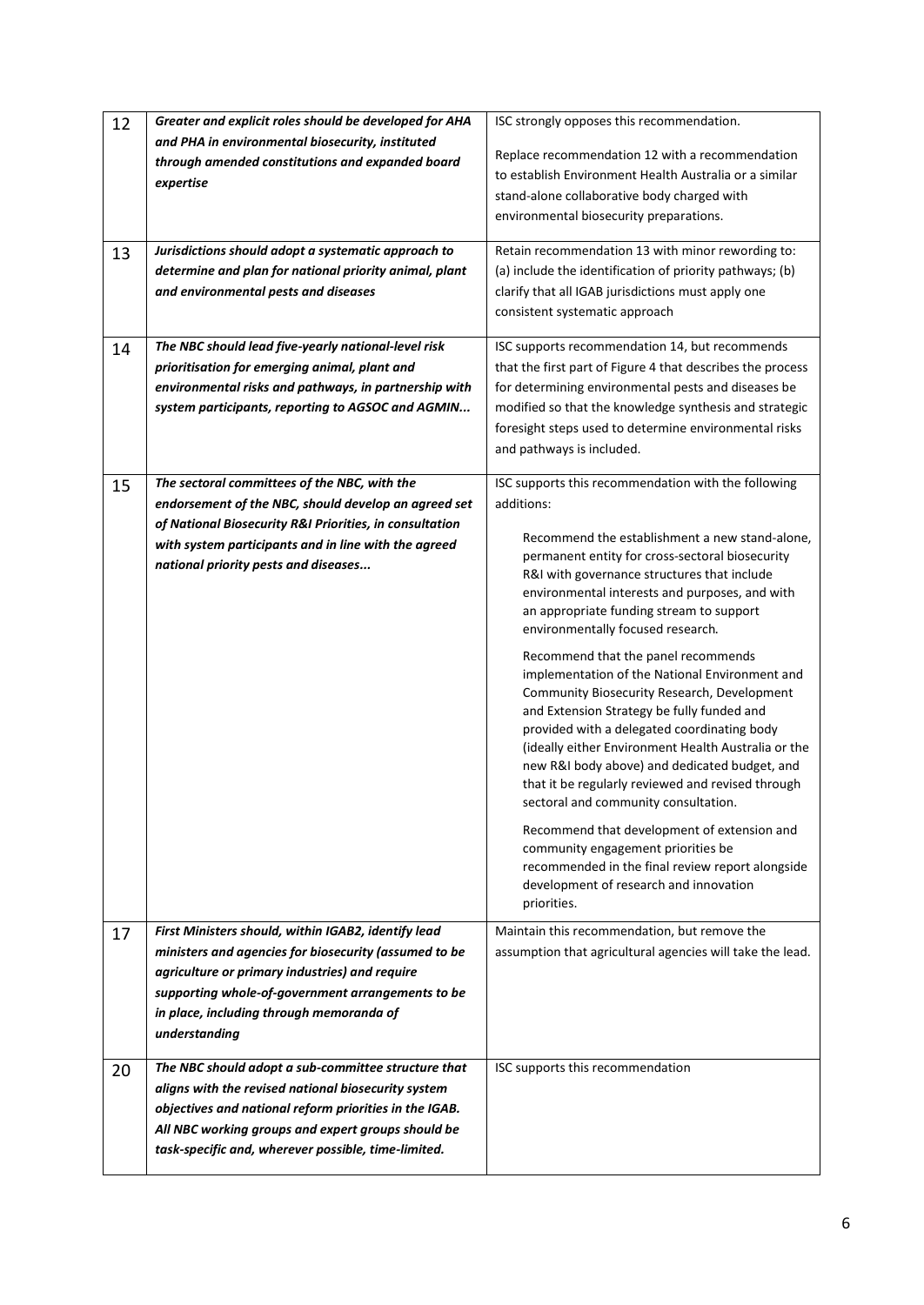| 12 | Greater and explicit roles should be developed for AHA  | ISC strongly opposes this recommendation.                                                  |
|----|---------------------------------------------------------|--------------------------------------------------------------------------------------------|
|    | and PHA in environmental biosecurity, instituted        | Replace recommendation 12 with a recommendation                                            |
|    | through amended constitutions and expanded board        | to establish Environment Health Australia or a similar                                     |
|    | expertise                                               | stand-alone collaborative body charged with                                                |
|    |                                                         | environmental biosecurity preparations.                                                    |
|    |                                                         |                                                                                            |
| 13 | Jurisdictions should adopt a systematic approach to     | Retain recommendation 13 with minor rewording to:                                          |
|    | determine and plan for national priority animal, plant  | (a) include the identification of priority pathways; (b)                                   |
|    | and environmental pests and diseases                    | clarify that all IGAB jurisdictions must apply one                                         |
|    |                                                         | consistent systematic approach                                                             |
|    |                                                         |                                                                                            |
| 14 | The NBC should lead five-yearly national-level risk     | ISC supports recommendation 14, but recommends                                             |
|    | prioritisation for emerging animal, plant and           | that the first part of Figure 4 that describes the process                                 |
|    | environmental risks and pathways, in partnership with   | for determining environmental pests and diseases be                                        |
|    | system participants, reporting to AGSOC and AGMIN       | modified so that the knowledge synthesis and strategic                                     |
|    |                                                         | foresight steps used to determine environmental risks                                      |
|    |                                                         | and pathways is included.                                                                  |
| 15 | The sectoral committees of the NBC, with the            | ISC supports this recommendation with the following                                        |
|    | endorsement of the NBC, should develop an agreed set    | additions:                                                                                 |
|    | of National Biosecurity R&I Priorities, in consultation |                                                                                            |
|    | with system participants and in line with the agreed    | Recommend the establishment a new stand-alone,                                             |
|    | national priority pests and diseases                    | permanent entity for cross-sectoral biosecurity                                            |
|    |                                                         | R&I with governance structures that include                                                |
|    |                                                         | environmental interests and purposes, and with<br>an appropriate funding stream to support |
|    |                                                         | environmentally focused research.                                                          |
|    |                                                         |                                                                                            |
|    |                                                         | Recommend that the panel recommends<br>implementation of the National Environment and      |
|    |                                                         | Community Biosecurity Research, Development                                                |
|    |                                                         | and Extension Strategy be fully funded and                                                 |
|    |                                                         | provided with a delegated coordinating body                                                |
|    |                                                         | (ideally either Environment Health Australia or the                                        |
|    |                                                         | new R&I body above) and dedicated budget, and                                              |
|    |                                                         | that it be regularly reviewed and revised through                                          |
|    |                                                         | sectoral and community consultation.                                                       |
|    |                                                         | Recommend that development of extension and                                                |
|    |                                                         | community engagement priorities be                                                         |
|    |                                                         | recommended in the final review report alongside                                           |
|    |                                                         | development of research and innovation                                                     |
|    |                                                         | priorities.                                                                                |
| 17 | First Ministers should, within IGAB2, identify lead     | Maintain this recommendation, but remove the                                               |
|    | ministers and agencies for biosecurity (assumed to be   | assumption that agricultural agencies will take the lead.                                  |
|    | agriculture or primary industries) and require          |                                                                                            |
|    | supporting whole-of-government arrangements to be       |                                                                                            |
|    | in place, including through memoranda of                |                                                                                            |
|    | understanding                                           |                                                                                            |
| 20 | The NBC should adopt a sub-committee structure that     | ISC supports this recommendation                                                           |
|    | aligns with the revised national biosecurity system     |                                                                                            |
|    | objectives and national reform priorities in the IGAB.  |                                                                                            |
|    | All NBC working groups and expert groups should be      |                                                                                            |
|    | task-specific and, wherever possible, time-limited.     |                                                                                            |
|    |                                                         |                                                                                            |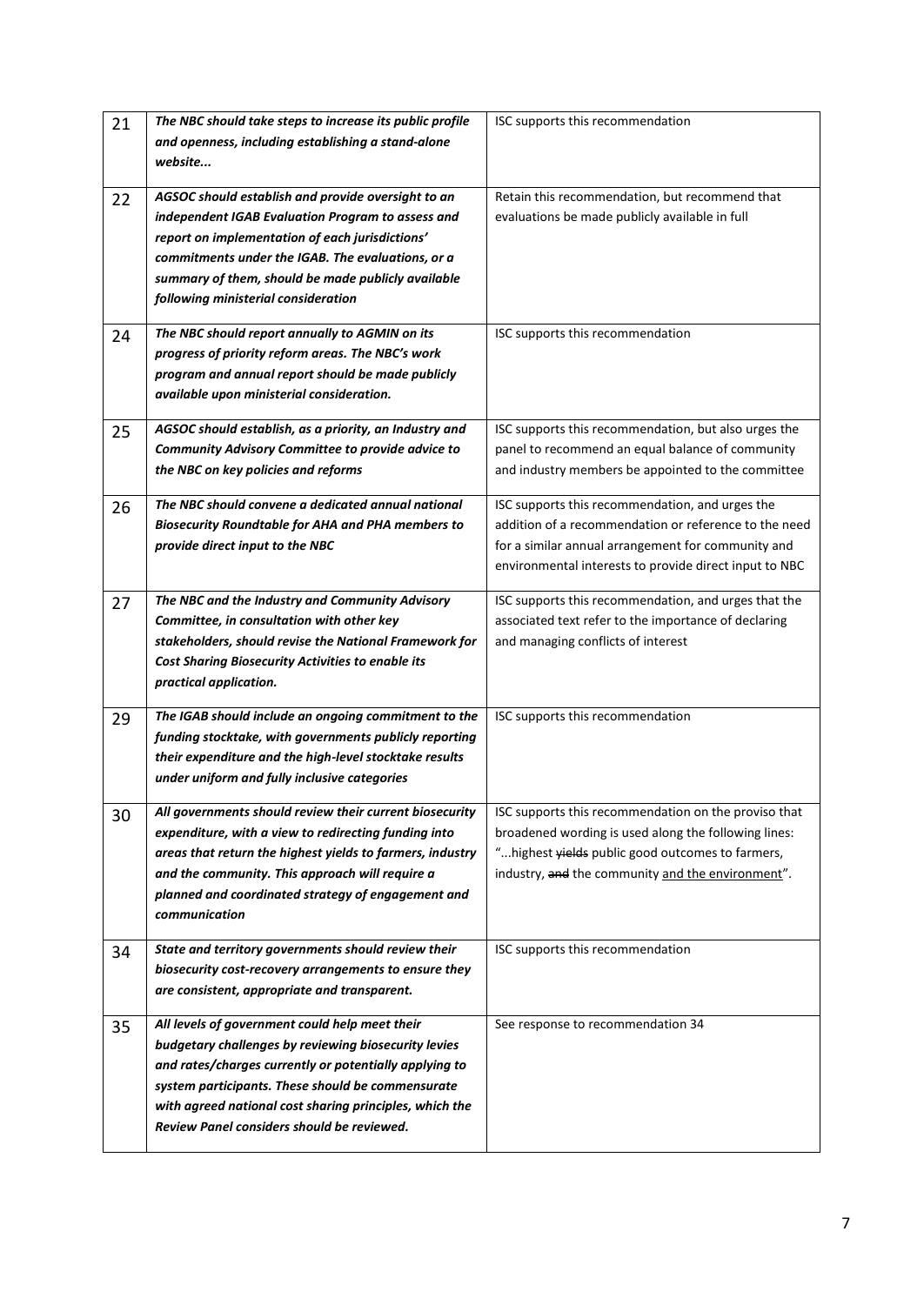| 21 | The NBC should take steps to increase its public profile                                                     | ISC supports this recommendation                                                                          |
|----|--------------------------------------------------------------------------------------------------------------|-----------------------------------------------------------------------------------------------------------|
|    | and openness, including establishing a stand-alone                                                           |                                                                                                           |
|    | website                                                                                                      |                                                                                                           |
|    |                                                                                                              |                                                                                                           |
| 22 | AGSOC should establish and provide oversight to an                                                           | Retain this recommendation, but recommend that                                                            |
|    | independent IGAB Evaluation Program to assess and                                                            | evaluations be made publicly available in full                                                            |
|    | report on implementation of each jurisdictions'                                                              |                                                                                                           |
|    | commitments under the IGAB. The evaluations, or a                                                            |                                                                                                           |
|    | summary of them, should be made publicly available                                                           |                                                                                                           |
|    | following ministerial consideration                                                                          |                                                                                                           |
| 24 | The NBC should report annually to AGMIN on its                                                               | ISC supports this recommendation                                                                          |
|    | progress of priority reform areas. The NBC's work                                                            |                                                                                                           |
|    | program and annual report should be made publicly                                                            |                                                                                                           |
|    | available upon ministerial consideration.                                                                    |                                                                                                           |
|    |                                                                                                              |                                                                                                           |
| 25 | AGSOC should establish, as a priority, an Industry and                                                       | ISC supports this recommendation, but also urges the                                                      |
|    | Community Advisory Committee to provide advice to                                                            | panel to recommend an equal balance of community                                                          |
|    | the NBC on key policies and reforms                                                                          | and industry members be appointed to the committee                                                        |
| 26 | The NBC should convene a dedicated annual national                                                           | ISC supports this recommendation, and urges the                                                           |
|    | <b>Biosecurity Roundtable for AHA and PHA members to</b>                                                     | addition of a recommendation or reference to the need                                                     |
|    | provide direct input to the NBC                                                                              | for a similar annual arrangement for community and                                                        |
|    |                                                                                                              | environmental interests to provide direct input to NBC                                                    |
|    |                                                                                                              |                                                                                                           |
| 27 | The NBC and the Industry and Community Advisory                                                              | ISC supports this recommendation, and urges that the                                                      |
|    | Committee, in consultation with other key                                                                    | associated text refer to the importance of declaring                                                      |
|    | stakeholders, should revise the National Framework for                                                       | and managing conflicts of interest                                                                        |
|    | <b>Cost Sharing Biosecurity Activities to enable its</b>                                                     |                                                                                                           |
|    | practical application.                                                                                       |                                                                                                           |
| 29 | The IGAB should include an ongoing commitment to the                                                         | ISC supports this recommendation                                                                          |
|    | funding stocktake, with governments publicly reporting                                                       |                                                                                                           |
|    | their expenditure and the high-level stocktake results                                                       |                                                                                                           |
|    | under uniform and fully inclusive categories                                                                 |                                                                                                           |
|    |                                                                                                              |                                                                                                           |
| 30 | All governments should review their current biosecurity                                                      | ISC supports this recommendation on the proviso that                                                      |
|    | expenditure, with a view to redirecting funding into                                                         | broadened wording is used along the following lines:<br>" highest yields public good outcomes to farmers, |
|    | areas that return the highest yields to farmers, industry<br>and the community. This approach will require a | industry, and the community and the environment".                                                         |
|    |                                                                                                              |                                                                                                           |
|    | planned and coordinated strategy of engagement and                                                           |                                                                                                           |
|    | communication                                                                                                |                                                                                                           |
| 34 | State and territory governments should review their                                                          | ISC supports this recommendation                                                                          |
|    | biosecurity cost-recovery arrangements to ensure they                                                        |                                                                                                           |
|    | are consistent, appropriate and transparent.                                                                 |                                                                                                           |
|    |                                                                                                              |                                                                                                           |
| 35 | All levels of government could help meet their                                                               | See response to recommendation 34                                                                         |
|    | budgetary challenges by reviewing biosecurity levies                                                         |                                                                                                           |
|    | and rates/charges currently or potentially applying to                                                       |                                                                                                           |
|    | system participants. These should be commensurate                                                            |                                                                                                           |
|    | with agreed national cost sharing principles, which the                                                      |                                                                                                           |
|    | Review Panel considers should be reviewed.                                                                   |                                                                                                           |
|    |                                                                                                              |                                                                                                           |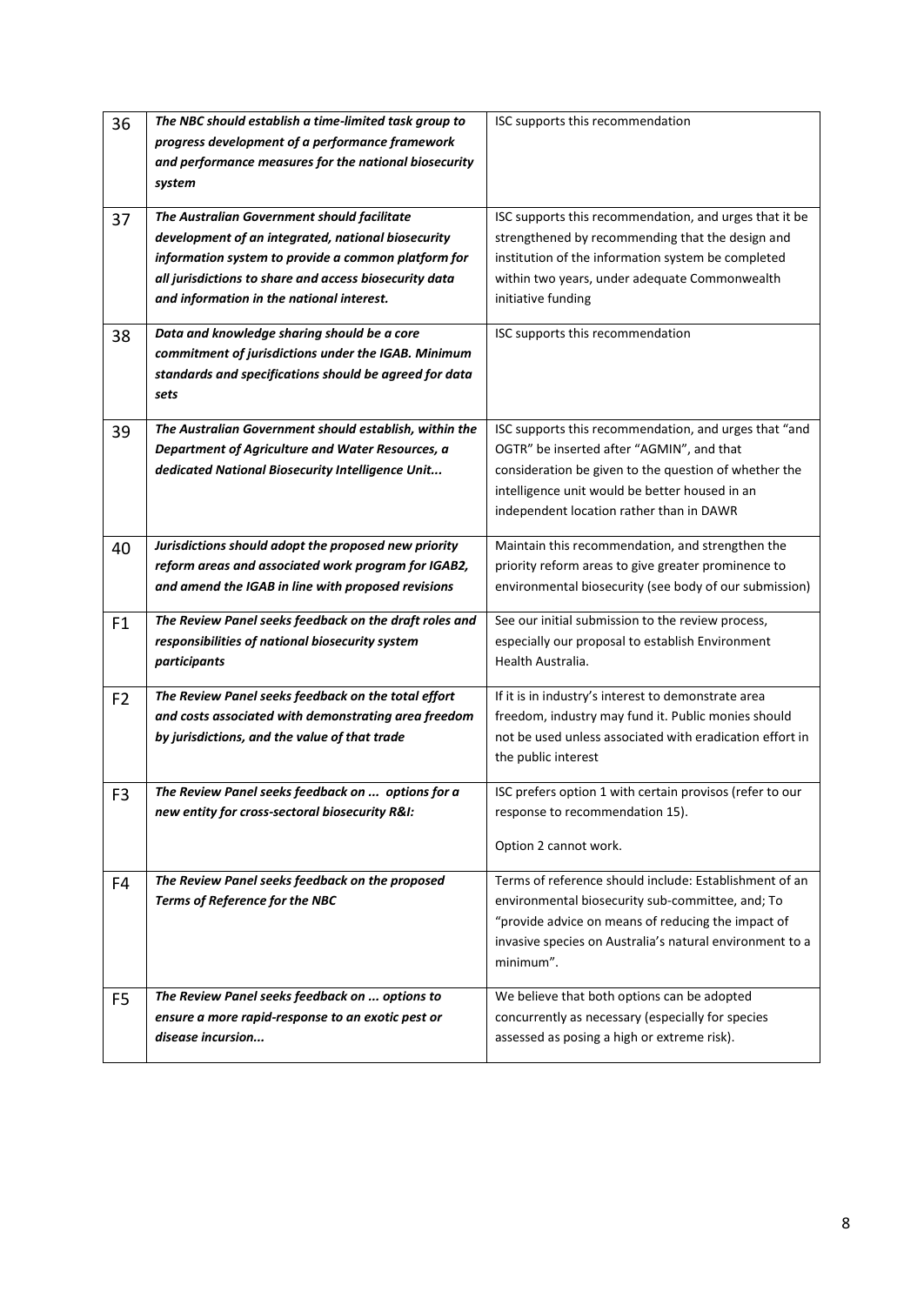| 36             | The NBC should establish a time-limited task group to  | ISC supports this recommendation                         |
|----------------|--------------------------------------------------------|----------------------------------------------------------|
|                | progress development of a performance framework        |                                                          |
|                | and performance measures for the national biosecurity  |                                                          |
|                | system                                                 |                                                          |
|                |                                                        |                                                          |
| 37             | The Australian Government should facilitate            | ISC supports this recommendation, and urges that it be   |
|                | development of an integrated, national biosecurity     | strengthened by recommending that the design and         |
|                | information system to provide a common platform for    | institution of the information system be completed       |
|                | all jurisdictions to share and access biosecurity data | within two years, under adequate Commonwealth            |
|                | and information in the national interest.              | initiative funding                                       |
| 38             | Data and knowledge sharing should be a core            | ISC supports this recommendation                         |
|                | commitment of jurisdictions under the IGAB. Minimum    |                                                          |
|                | standards and specifications should be agreed for data |                                                          |
|                | sets                                                   |                                                          |
|                |                                                        |                                                          |
| 39             | The Australian Government should establish, within the | ISC supports this recommendation, and urges that "and    |
|                | Department of Agriculture and Water Resources, a       | OGTR" be inserted after "AGMIN", and that                |
|                | dedicated National Biosecurity Intelligence Unit       | consideration be given to the question of whether the    |
|                |                                                        | intelligence unit would be better housed in an           |
|                |                                                        | independent location rather than in DAWR                 |
| 40             | Jurisdictions should adopt the proposed new priority   | Maintain this recommendation, and strengthen the         |
|                | reform areas and associated work program for IGAB2,    | priority reform areas to give greater prominence to      |
|                | and amend the IGAB in line with proposed revisions     | environmental biosecurity (see body of our submission)   |
|                |                                                        |                                                          |
| F <sub>1</sub> | The Review Panel seeks feedback on the draft roles and | See our initial submission to the review process,        |
|                | responsibilities of national biosecurity system        | especially our proposal to establish Environment         |
|                | participants                                           | Health Australia.                                        |
| F <sub>2</sub> | The Review Panel seeks feedback on the total effort    | If it is in industry's interest to demonstrate area      |
|                | and costs associated with demonstrating area freedom   | freedom, industry may fund it. Public monies should      |
|                | by jurisdictions, and the value of that trade          | not be used unless associated with eradication effort in |
|                |                                                        | the public interest                                      |
|                |                                                        |                                                          |
| F <sub>3</sub> | The Review Panel seeks feedback on  options for a      | ISC prefers option 1 with certain provisos (refer to our |
|                | new entity for cross-sectoral biosecurity R&I:         | response to recommendation 15).                          |
|                |                                                        | Option 2 cannot work.                                    |
|                |                                                        |                                                          |
| F4             | The Review Panel seeks feedback on the proposed        | Terms of reference should include: Establishment of an   |
|                | Terms of Reference for the NBC                         | environmental biosecurity sub-committee, and; To         |
|                |                                                        | "provide advice on means of reducing the impact of       |
|                |                                                        | invasive species on Australia's natural environment to a |
|                |                                                        | minimum".                                                |
| F <sub>5</sub> | The Review Panel seeks feedback on  options to         | We believe that both options can be adopted              |
|                | ensure a more rapid-response to an exotic pest or      | concurrently as necessary (especially for species        |
|                | disease incursion                                      | assessed as posing a high or extreme risk).              |
|                |                                                        |                                                          |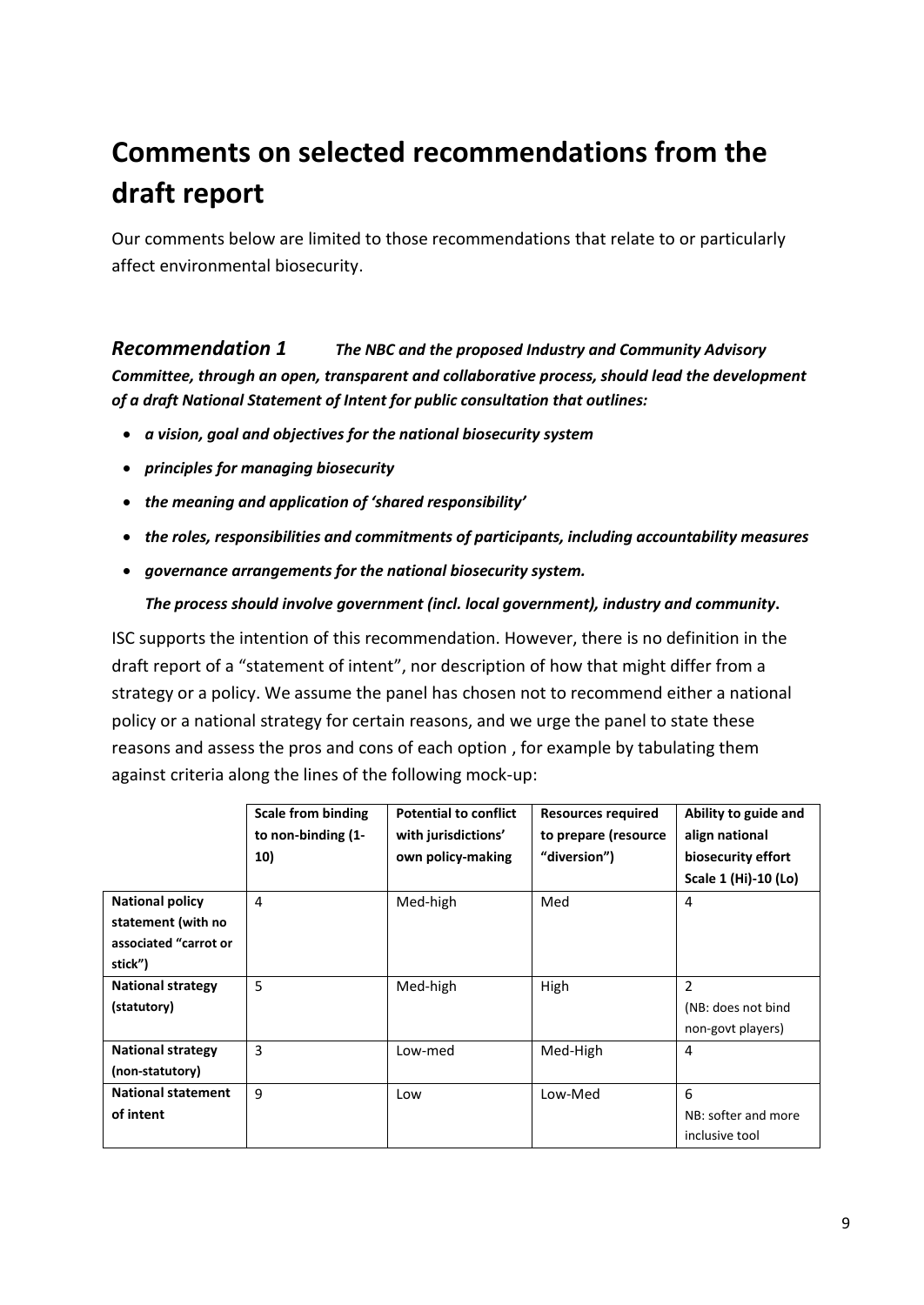# <span id="page-8-0"></span>**Comments on selected recommendations from the draft report**

Our comments below are limited to those recommendations that relate to or particularly affect environmental biosecurity.

<span id="page-8-1"></span>*[Recommendation 1](file:///C:/Users/Charlie/Documents/Charlie) The NBC and the proposed Industry and Community Advisory Committee, through an open, transparent and collaborative process, should lead the development of a draft National Statement of Intent for public consultation that outlines:*

- *a vision, goal and objectives for the national biosecurity system*
- *principles for managing biosecurity*
- *the meaning and application of 'shared responsibility'*
- *the roles, responsibilities and commitments of participants, including accountability measures*
- *governance arrangements for the national biosecurity system.*

#### *The process should involve government (incl. local government), industry and community***.**

ISC supports the intention of this recommendation. However, there is no definition in the draft report of a "statement of intent", nor description of how that might differ from a strategy or a policy. We assume the panel has chosen not to recommend either a national policy or a national strategy for certain reasons, and we urge the panel to state these reasons and assess the pros and cons of each option , for example by tabulating them against criteria along the lines of the following mock-up:

|                           | <b>Scale from binding</b> | <b>Potential to conflict</b> | <b>Resources required</b> | Ability to guide and |
|---------------------------|---------------------------|------------------------------|---------------------------|----------------------|
|                           | to non-binding (1-        | with jurisdictions'          | to prepare (resource      | align national       |
|                           | 10)                       | own policy-making            | "diversion")              | biosecurity effort   |
|                           |                           |                              |                           | Scale 1 (Hi)-10 (Lo) |
| <b>National policy</b>    | 4                         | Med-high                     | Med                       | 4                    |
| statement (with no        |                           |                              |                           |                      |
| associated "carrot or     |                           |                              |                           |                      |
| stick")                   |                           |                              |                           |                      |
| <b>National strategy</b>  | 5                         | Med-high                     | High                      | 2                    |
| (statutory)               |                           |                              |                           | (NB: does not bind   |
|                           |                           |                              |                           | non-govt players)    |
| <b>National strategy</b>  | 3                         | Low-med                      | Med-High                  | 4                    |
| (non-statutory)           |                           |                              |                           |                      |
| <b>National statement</b> | 9                         | Low                          | Low-Med                   | 6                    |
| of intent                 |                           |                              |                           | NB: softer and more  |
|                           |                           |                              |                           | inclusive tool       |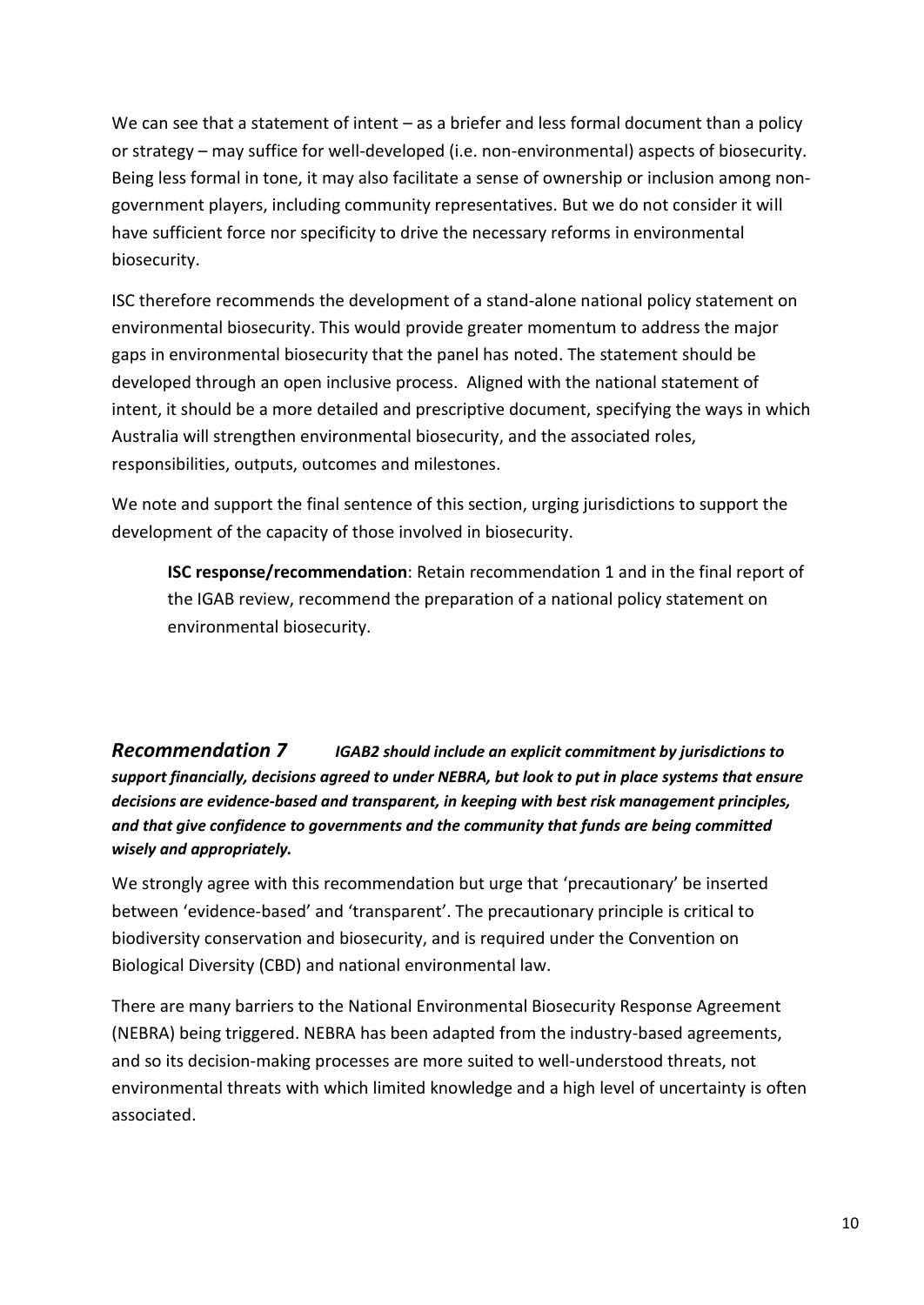We can see that a statement of intent – as a briefer and less formal document than a policy or strategy – may suffice for well-developed (i.e. non-environmental) aspects of biosecurity. Being less formal in tone, it may also facilitate a sense of ownership or inclusion among nongovernment players, including community representatives. But we do not consider it will have sufficient force nor specificity to drive the necessary reforms in environmental biosecurity.

ISC therefore recommends the development of a stand-alone national policy statement on environmental biosecurity. This would provide greater momentum to address the major gaps in environmental biosecurity that the panel has noted. The statement should be developed through an open inclusive process. Aligned with the national statement of intent, it should be a more detailed and prescriptive document, specifying the ways in which Australia will strengthen environmental biosecurity, and the associated roles, responsibilities, outputs, outcomes and milestones.

We note and support the final sentence of this section, urging jurisdictions to support the development of the capacity of those involved in biosecurity.

**ISC response/recommendation**: Retain recommendation 1 and in the final report of the IGAB review, recommend the preparation of a national policy statement on environmental biosecurity.

<span id="page-9-0"></span>*[Recommendation 7](file:///C:/Users/Charlie/Documents/Charlie) IGAB2 should include an explicit commitment by jurisdictions to support financially, decisions agreed to under NEBRA, but look to put in place systems that ensure decisions are evidence-based and transparent, in keeping with best risk management principles, and that give confidence to governments and the community that funds are being committed wisely and appropriately.*

We strongly agree with this recommendation but urge that 'precautionary' be inserted between 'evidence-based' and 'transparent'. The precautionary principle is critical to biodiversity conservation and biosecurity, and is required under the Convention on Biological Diversity (CBD) and national environmental law.

There are many barriers to the National Environmental Biosecurity Response Agreement (NEBRA) being triggered. NEBRA has been adapted from the industry-based agreements, and so its decision-making processes are more suited to well-understood threats, not environmental threats with which limited knowledge and a high level of uncertainty is often associated.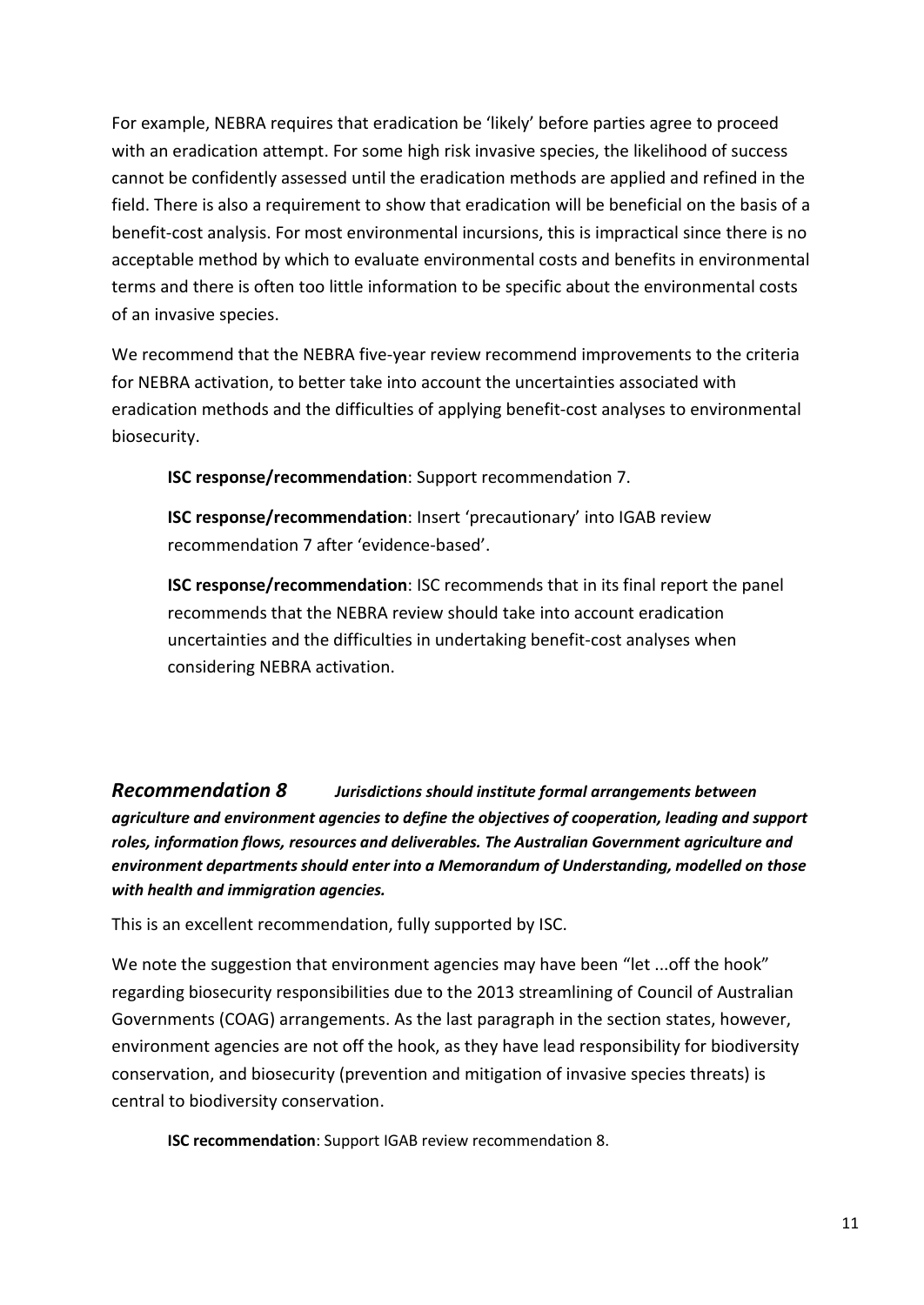For example, NEBRA requires that eradication be 'likely' before parties agree to proceed with an eradication attempt. For some high risk invasive species, the likelihood of success cannot be confidently assessed until the eradication methods are applied and refined in the field. There is also a requirement to show that eradication will be beneficial on the basis of a benefit-cost analysis. For most environmental incursions, this is impractical since there is no acceptable method by which to evaluate environmental costs and benefits in environmental terms and there is often too little information to be specific about the environmental costs of an invasive species.

We recommend that the NEBRA five-year review recommend improvements to the criteria for NEBRA activation, to better take into account the uncertainties associated with eradication methods and the difficulties of applying benefit-cost analyses to environmental biosecurity.

**ISC response/recommendation**: Support recommendation 7.

**ISC response/recommendation**: Insert 'precautionary' into IGAB review recommendation 7 after 'evidence-based'.

**ISC response/recommendation**: ISC recommends that in its final report the panel recommends that the NEBRA review should take into account eradication uncertainties and the difficulties in undertaking benefit-cost analyses when considering NEBRA activation.

<span id="page-10-0"></span>*[Recommendation 8](file:///C:/Users/Charlie/Documents/Charlie) Jurisdictions should institute formal arrangements between agriculture and environment agencies to define the objectives of cooperation, leading and support roles, information flows, resources and deliverables. The Australian Government agriculture and environment departments should enter into a Memorandum of Understanding, modelled on those with health and immigration agencies.*

This is an excellent recommendation, fully supported by ISC.

We note the suggestion that environment agencies may have been "let ...off the hook" regarding biosecurity responsibilities due to the 2013 streamlining of Council of Australian Governments (COAG) arrangements. As the last paragraph in the section states, however, environment agencies are not off the hook, as they have lead responsibility for biodiversity conservation, and biosecurity (prevention and mitigation of invasive species threats) is central to biodiversity conservation.

**ISC recommendation**: Support IGAB review recommendation 8.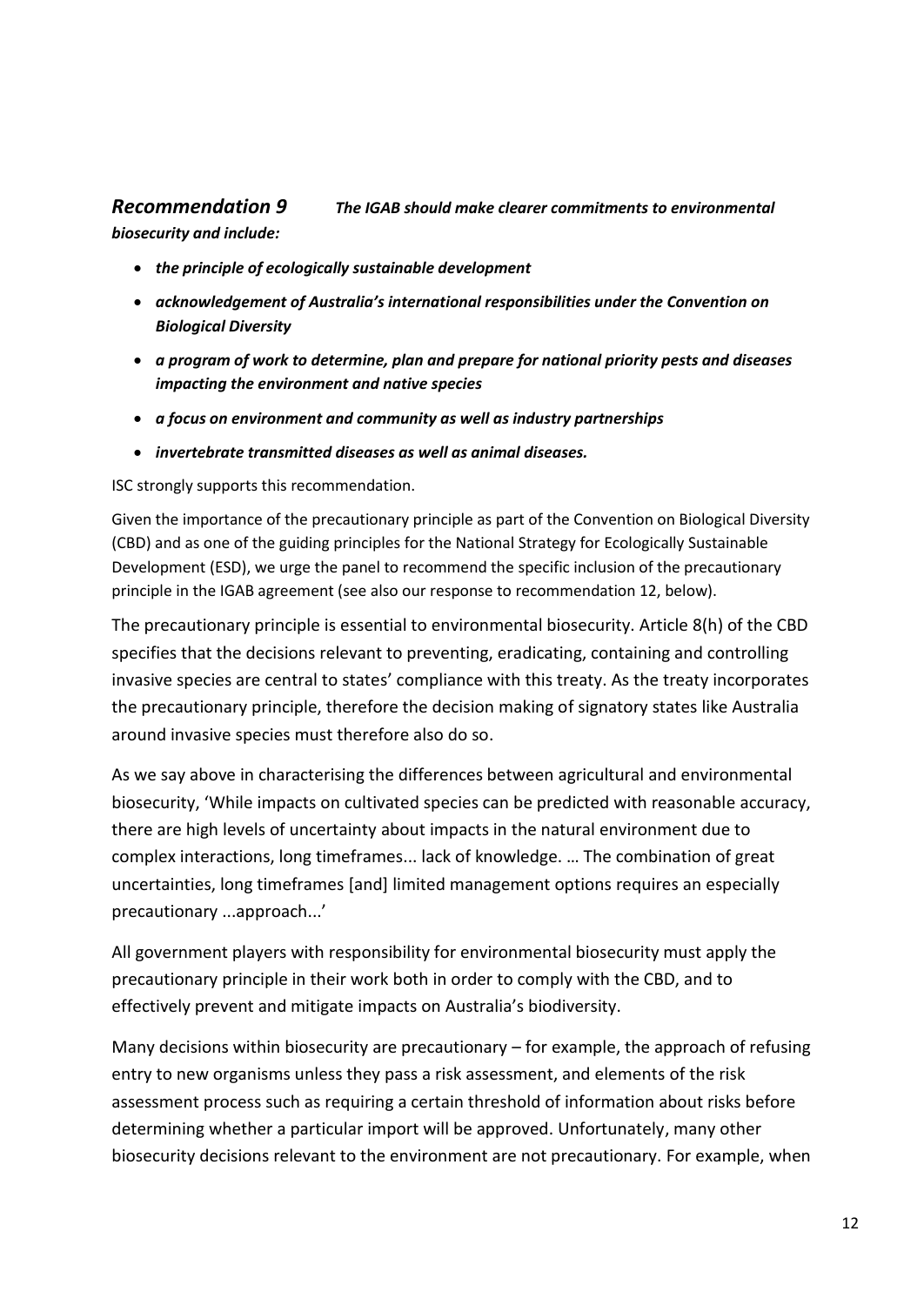#### <span id="page-11-0"></span>*[Recommendation 9](file:///C:/Users/Charlie/Documents/Charlie) The IGAB should make clearer commitments to environmental biosecurity and include:*

- *the principle of ecologically sustainable development*
- *acknowledgement of Australia's international responsibilities under the Convention on Biological Diversity*
- *a program of work to determine, plan and prepare for national priority pests and diseases impacting the environment and native species*
- *a focus on environment and community as well as industry partnerships*
- *invertebrate transmitted diseases as well as animal diseases.*

ISC strongly supports this recommendation.

Given the importance of the precautionary principle as part of the Convention on Biological Diversity (CBD) and as one of the guiding principles for the National Strategy for Ecologically Sustainable Development (ESD), we urge the panel to recommend the specific inclusion of the precautionary principle in the IGAB agreement (see also our response to recommendation 12, below).

The precautionary principle is essential to environmental biosecurity. Article 8(h) of the CBD specifies that the decisions relevant to preventing, eradicating, containing and controlling invasive species are central to states' compliance with this treaty. As the treaty incorporates the precautionary principle, therefore the decision making of signatory states like Australia around invasive species must therefore also do so.

As we say above in characterising the differences between agricultural and environmental biosecurity, 'While impacts on cultivated species can be predicted with reasonable accuracy, there are high levels of uncertainty about impacts in the natural environment due to complex interactions, long timeframes... lack of knowledge. … The combination of great uncertainties, long timeframes [and] limited management options requires an especially precautionary ...approach...'

All government players with responsibility for environmental biosecurity must apply the precautionary principle in their work both in order to comply with the CBD, and to effectively prevent and mitigate impacts on Australia's biodiversity.

Many decisions within biosecurity are precautionary – for example, the approach of refusing entry to new organisms unless they pass a risk assessment, and elements of the risk assessment process such as requiring a certain threshold of information about risks before determining whether a particular import will be approved. Unfortunately, many other biosecurity decisions relevant to the environment are not precautionary. For example, when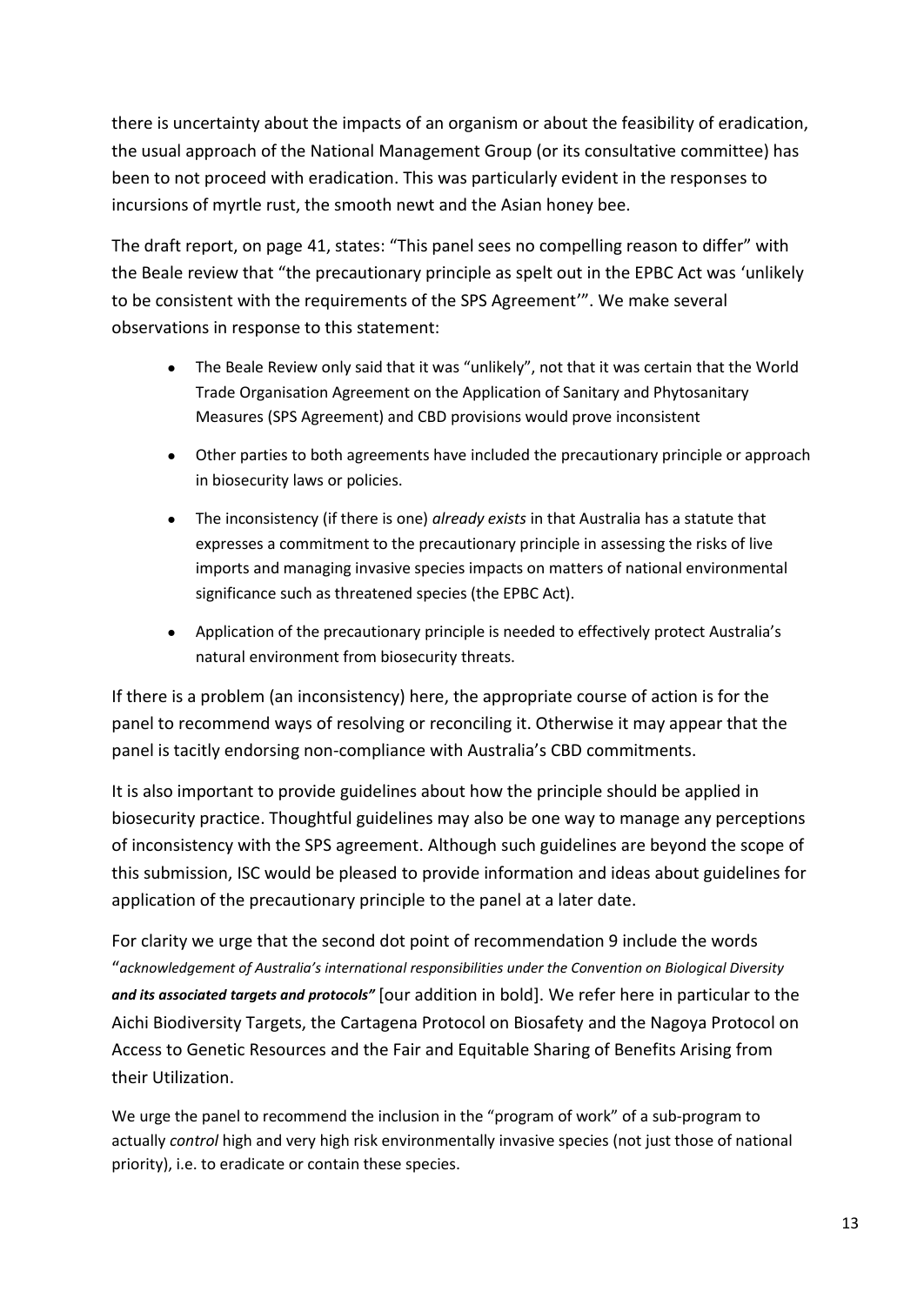there is uncertainty about the impacts of an organism or about the feasibility of eradication, the usual approach of the National Management Group (or its consultative committee) has been to not proceed with eradication. This was particularly evident in the responses to incursions of myrtle rust, the smooth newt and the Asian honey bee.

The draft report, on page 41, states: "This panel sees no compelling reason to differ" with the Beale review that "the precautionary principle as spelt out in the EPBC Act was 'unlikely to be consistent with the requirements of the SPS Agreement'". We make several observations in response to this statement:

- The Beale Review only said that it was "unlikely", not that it was certain that the World Trade Organisation Agreement on the Application of Sanitary and Phytosanitary Measures (SPS Agreement) and CBD provisions would prove inconsistent
- Other parties to both agreements have included the precautionary principle or approach in biosecurity laws or policies.
- The inconsistency (if there is one) *already exists* in that Australia has a statute that expresses a commitment to the precautionary principle in assessing the risks of live imports and managing invasive species impacts on matters of national environmental significance such as threatened species (the EPBC Act).
- Application of the precautionary principle is needed to effectively protect Australia's natural environment from biosecurity threats.

If there is a problem (an inconsistency) here, the appropriate course of action is for the panel to recommend ways of resolving or reconciling it. Otherwise it may appear that the panel is tacitly endorsing non-compliance with Australia's CBD commitments.

It is also important to provide guidelines about how the principle should be applied in biosecurity practice. Thoughtful guidelines may also be one way to manage any perceptions of inconsistency with the SPS agreement. Although such guidelines are beyond the scope of this submission, ISC would be pleased to provide information and ideas about guidelines for application of the precautionary principle to the panel at a later date.

For clarity we urge that the second dot point of recommendation 9 include the words "*acknowledgement of Australia's international responsibilities under the Convention on Biological Diversity and its associated targets and protocols"* [our addition in bold]. We refer here in particular to the Aichi Biodiversity Targets, the Cartagena Protocol on Biosafety and the Nagoya Protocol on Access to Genetic Resources and the Fair and Equitable Sharing of Benefits Arising from their Utilization.

We urge the panel to recommend the inclusion in the "program of work" of a sub-program to actually *control* high and very high risk environmentally invasive species (not just those of national priority), i.e. to eradicate or contain these species.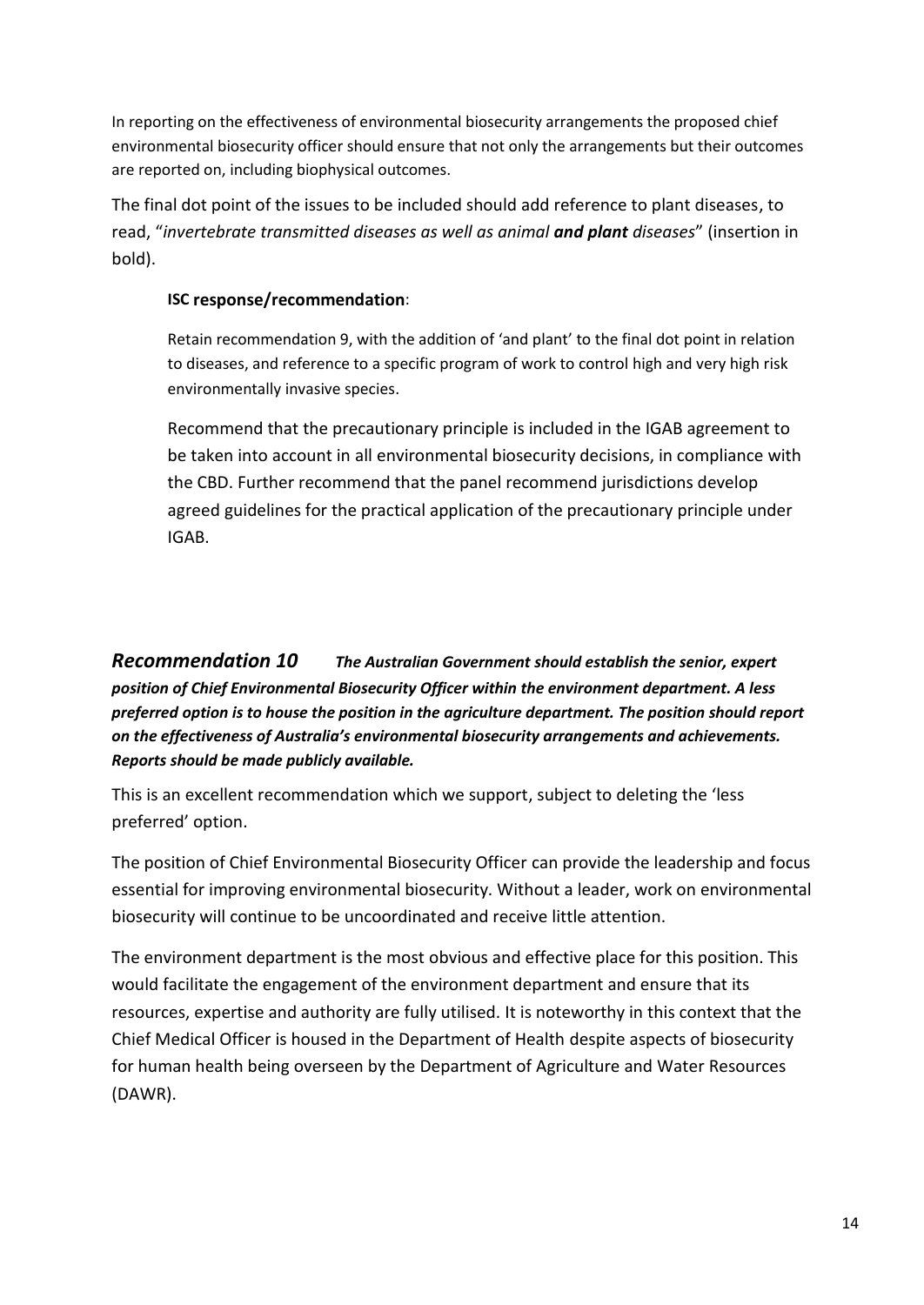In reporting on the effectiveness of environmental biosecurity arrangements the proposed chief environmental biosecurity officer should ensure that not only the arrangements but their outcomes are reported on, including biophysical outcomes.

The final dot point of the issues to be included should add reference to plant diseases, to read, "*invertebrate transmitted diseases as well as animal and plant diseases*" (insertion in bold).

#### **ISC response/recommendation**:

Retain recommendation 9, with the addition of 'and plant' to the final dot point in relation to diseases, and reference to a specific program of work to control high and very high risk environmentally invasive species.

Recommend that the precautionary principle is included in the IGAB agreement to be taken into account in all environmental biosecurity decisions, in compliance with the CBD. Further recommend that the panel recommend jurisdictions develop agreed guidelines for the practical application of the precautionary principle under IGAB.

<span id="page-13-0"></span>*[Recommendation 10](file:///C:/Users/Charlie/Documents/Charlie) The Australian Government should establish the senior, expert position of Chief Environmental Biosecurity Officer within the environment department. A less preferred option is to house the position in the agriculture department. The position should report on the effectiveness of Australia's environmental biosecurity arrangements and achievements. Reports should be made publicly available.*

This is an excellent recommendation which we support, subject to deleting the 'less preferred' option.

The position of Chief Environmental Biosecurity Officer can provide the leadership and focus essential for improving environmental biosecurity. Without a leader, work on environmental biosecurity will continue to be uncoordinated and receive little attention.

The environment department is the most obvious and effective place for this position. This would facilitate the engagement of the environment department and ensure that its resources, expertise and authority are fully utilised. It is noteworthy in this context that the Chief Medical Officer is housed in the Department of Health despite aspects of biosecurity for human health being overseen by the Department of Agriculture and Water Resources (DAWR).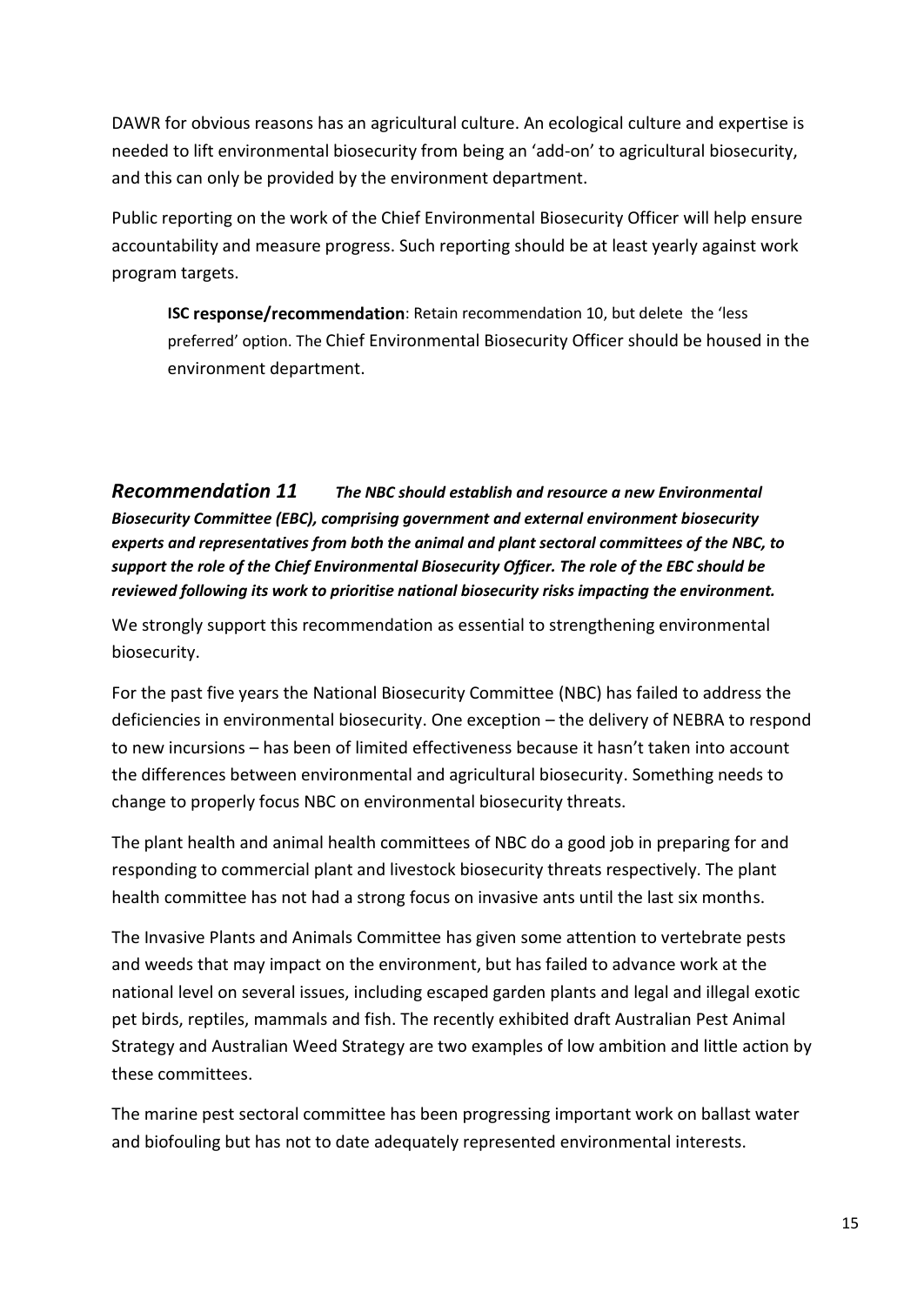DAWR for obvious reasons has an agricultural culture. An ecological culture and expertise is needed to lift environmental biosecurity from being an 'add-on' to agricultural biosecurity, and this can only be provided by the environment department.

Public reporting on the work of the Chief Environmental Biosecurity Officer will help ensure accountability and measure progress. Such reporting should be at least yearly against work program targets.

**ISC response/recommendation**: Retain recommendation 10, but delete the 'less preferred' option. The Chief Environmental Biosecurity Officer should be housed in the environment department.

<span id="page-14-0"></span>*[Recommendation 11](file:///C:/Users/Charlie/Documents/Charlie) The NBC should establish and resource a new Environmental Biosecurity Committee (EBC), comprising government and external environment biosecurity experts and representatives from both the animal and plant sectoral committees of the NBC, to support the role of the Chief Environmental Biosecurity Officer. The role of the EBC should be reviewed following its work to prioritise national biosecurity risks impacting the environment.*

We strongly support this recommendation as essential to strengthening environmental biosecurity.

For the past five years the National Biosecurity Committee (NBC) has failed to address the deficiencies in environmental biosecurity. One exception – the delivery of NEBRA to respond to new incursions – has been of limited effectiveness because it hasn't taken into account the differences between environmental and agricultural biosecurity. Something needs to change to properly focus NBC on environmental biosecurity threats.

The plant health and animal health committees of NBC do a good job in preparing for and responding to commercial plant and livestock biosecurity threats respectively. The plant health committee has not had a strong focus on invasive ants until the last six months.

The Invasive Plants and Animals Committee has given some attention to vertebrate pests and weeds that may impact on the environment, but has failed to advance work at the national level on several issues, including escaped garden plants and legal and illegal exotic pet birds, reptiles, mammals and fish. The recently exhibited draft Australian Pest Animal Strategy and Australian Weed Strategy are two examples of low ambition and little action by these committees.

The marine pest sectoral committee has been progressing important work on ballast water and biofouling but has not to date adequately represented environmental interests.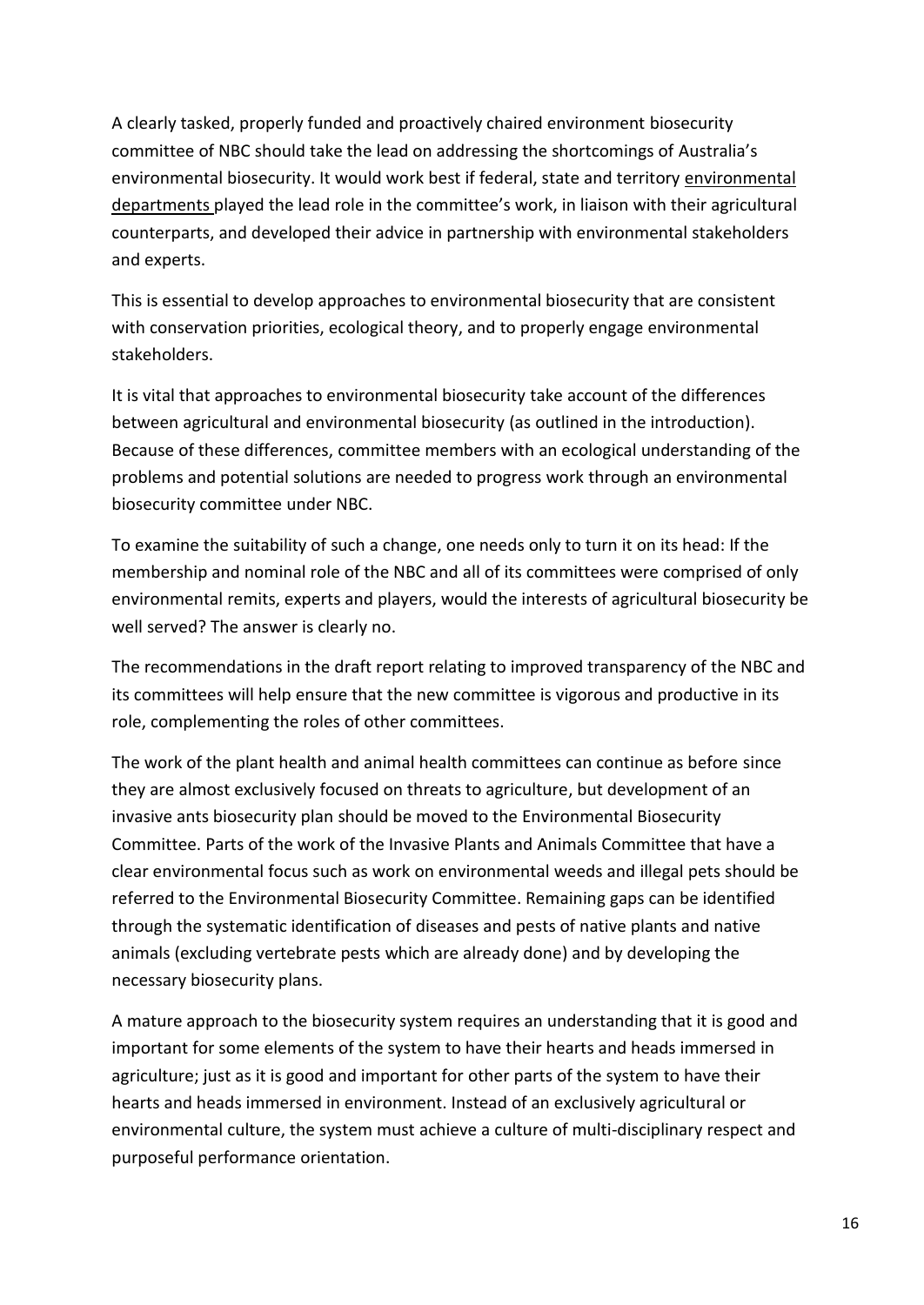A clearly tasked, properly funded and proactively chaired environment biosecurity committee of NBC should take the lead on addressing the shortcomings of Australia's environmental biosecurity. It would work best if federal, state and territory environmental departments played the lead role in the committee's work, in liaison with their agricultural counterparts, and developed their advice in partnership with environmental stakeholders and experts.

This is essential to develop approaches to environmental biosecurity that are consistent with conservation priorities, ecological theory, and to properly engage environmental stakeholders.

It is vital that approaches to environmental biosecurity take account of the differences between agricultural and environmental biosecurity (as outlined in the introduction). Because of these differences, committee members with an ecological understanding of the problems and potential solutions are needed to progress work through an environmental biosecurity committee under NBC.

To examine the suitability of such a change, one needs only to turn it on its head: If the membership and nominal role of the NBC and all of its committees were comprised of only environmental remits, experts and players, would the interests of agricultural biosecurity be well served? The answer is clearly no.

The recommendations in the draft report relating to improved transparency of the NBC and its committees will help ensure that the new committee is vigorous and productive in its role, complementing the roles of other committees.

The work of the plant health and animal health committees can continue as before since they are almost exclusively focused on threats to agriculture, but development of an invasive ants biosecurity plan should be moved to the Environmental Biosecurity Committee. Parts of the work of the Invasive Plants and Animals Committee that have a clear environmental focus such as work on environmental weeds and illegal pets should be referred to the Environmental Biosecurity Committee. Remaining gaps can be identified through the systematic identification of diseases and pests of native plants and native animals (excluding vertebrate pests which are already done) and by developing the necessary biosecurity plans.

A mature approach to the biosecurity system requires an understanding that it is good and important for some elements of the system to have their hearts and heads immersed in agriculture; just as it is good and important for other parts of the system to have their hearts and heads immersed in environment. Instead of an exclusively agricultural or environmental culture, the system must achieve a culture of multi-disciplinary respect and purposeful performance orientation.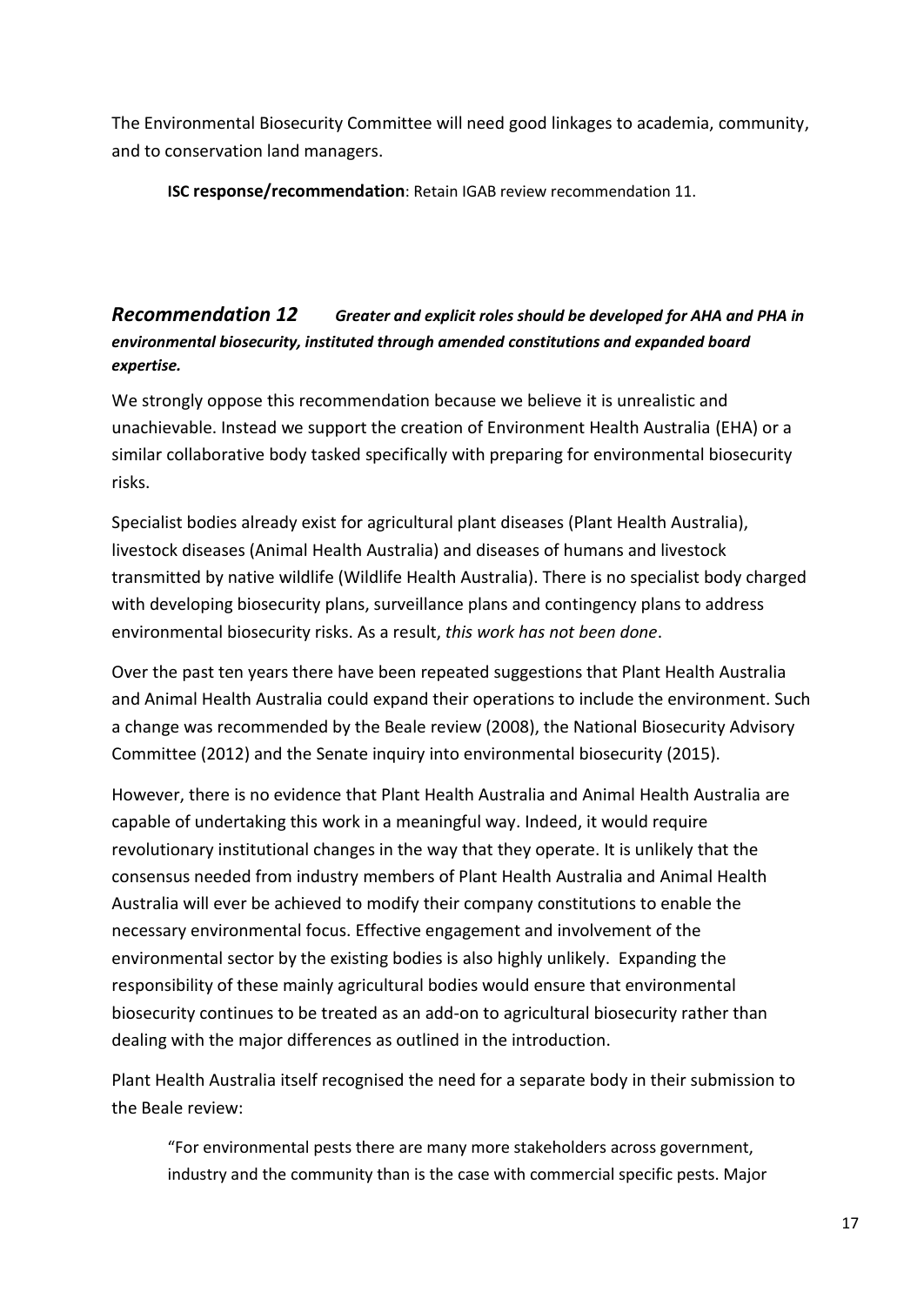The Environmental Biosecurity Committee will need good linkages to academia, community, and to conservation land managers.

**ISC response/recommendation**: Retain IGAB review recommendation 11.

### <span id="page-16-0"></span>*[Recommendation 12](file:///C:/Users/Charlie/Documents/Charlie) Greater and explicit roles should be developed for AHA and PHA in environmental biosecurity, instituted through amended constitutions and expanded board expertise.*

We strongly oppose this recommendation because we believe it is unrealistic and unachievable. Instead we support the creation of Environment Health Australia (EHA) or a similar collaborative body tasked specifically with preparing for environmental biosecurity risks.

Specialist bodies already exist for agricultural plant diseases (Plant Health Australia), livestock diseases (Animal Health Australia) and diseases of humans and livestock transmitted by native wildlife (Wildlife Health Australia). There is no specialist body charged with developing biosecurity plans, surveillance plans and contingency plans to address environmental biosecurity risks. As a result, *this work has not been done*.

Over the past ten years there have been repeated suggestions that Plant Health Australia and Animal Health Australia could expand their operations to include the environment. Such a change was recommended by the Beale review (2008), the National Biosecurity Advisory Committee (2012) and the Senate inquiry into environmental biosecurity (2015).

However, there is no evidence that Plant Health Australia and Animal Health Australia are capable of undertaking this work in a meaningful way. Indeed, it would require revolutionary institutional changes in the way that they operate. It is unlikely that the consensus needed from industry members of Plant Health Australia and Animal Health Australia will ever be achieved to modify their company constitutions to enable the necessary environmental focus. Effective engagement and involvement of the environmental sector by the existing bodies is also highly unlikely. Expanding the responsibility of these mainly agricultural bodies would ensure that environmental biosecurity continues to be treated as an add-on to agricultural biosecurity rather than dealing with the major differences as outlined in the introduction.

Plant Health Australia itself recognised the need for a separate body in their submission to the Beale review:

"For environmental pests there are many more stakeholders across government, industry and the community than is the case with commercial specific pests. Major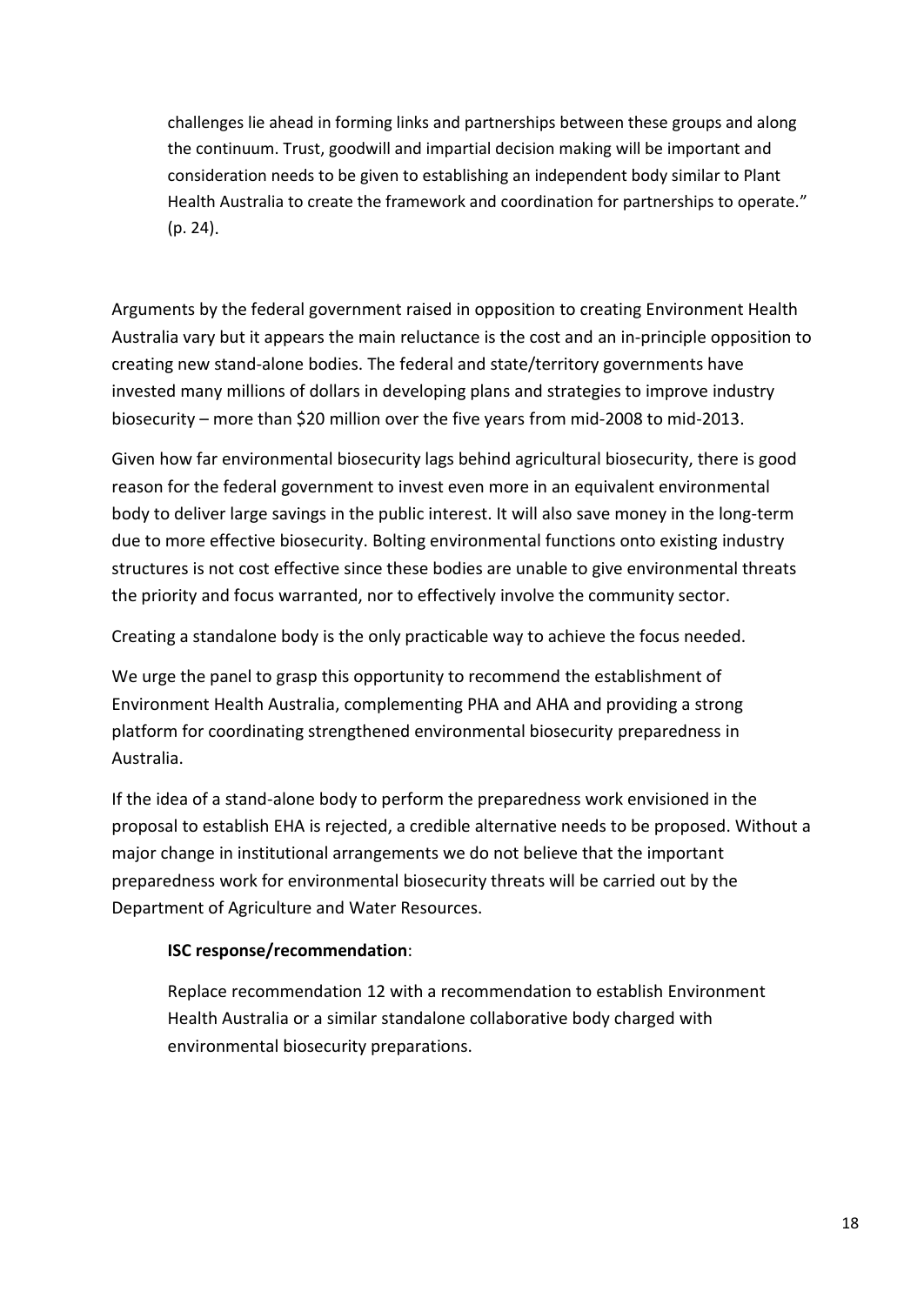challenges lie ahead in forming links and partnerships between these groups and along the continuum. Trust, goodwill and impartial decision making will be important and consideration needs to be given to establishing an independent body similar to Plant Health Australia to create the framework and coordination for partnerships to operate." (p. 24).

Arguments by the federal government raised in opposition to creating Environment Health Australia vary but it appears the main reluctance is the cost and an in-principle opposition to creating new stand-alone bodies. The federal and state/territory governments have invested many millions of dollars in developing plans and strategies to improve industry biosecurity – more than \$20 million over the five years from mid-2008 to mid-2013.

Given how far environmental biosecurity lags behind agricultural biosecurity, there is good reason for the federal government to invest even more in an equivalent environmental body to deliver large savings in the public interest. It will also save money in the long-term due to more effective biosecurity. Bolting environmental functions onto existing industry structures is not cost effective since these bodies are unable to give environmental threats the priority and focus warranted, nor to effectively involve the community sector.

Creating a standalone body is the only practicable way to achieve the focus needed.

We urge the panel to grasp this opportunity to recommend the establishment of Environment Health Australia, complementing PHA and AHA and providing a strong platform for coordinating strengthened environmental biosecurity preparedness in Australia.

If the idea of a stand-alone body to perform the preparedness work envisioned in the proposal to establish EHA is rejected, a credible alternative needs to be proposed. Without a major change in institutional arrangements we do not believe that the important preparedness work for environmental biosecurity threats will be carried out by the Department of Agriculture and Water Resources.

#### **ISC response/recommendation**:

Replace recommendation 12 with a recommendation to establish Environment Health Australia or a similar standalone collaborative body charged with environmental biosecurity preparations.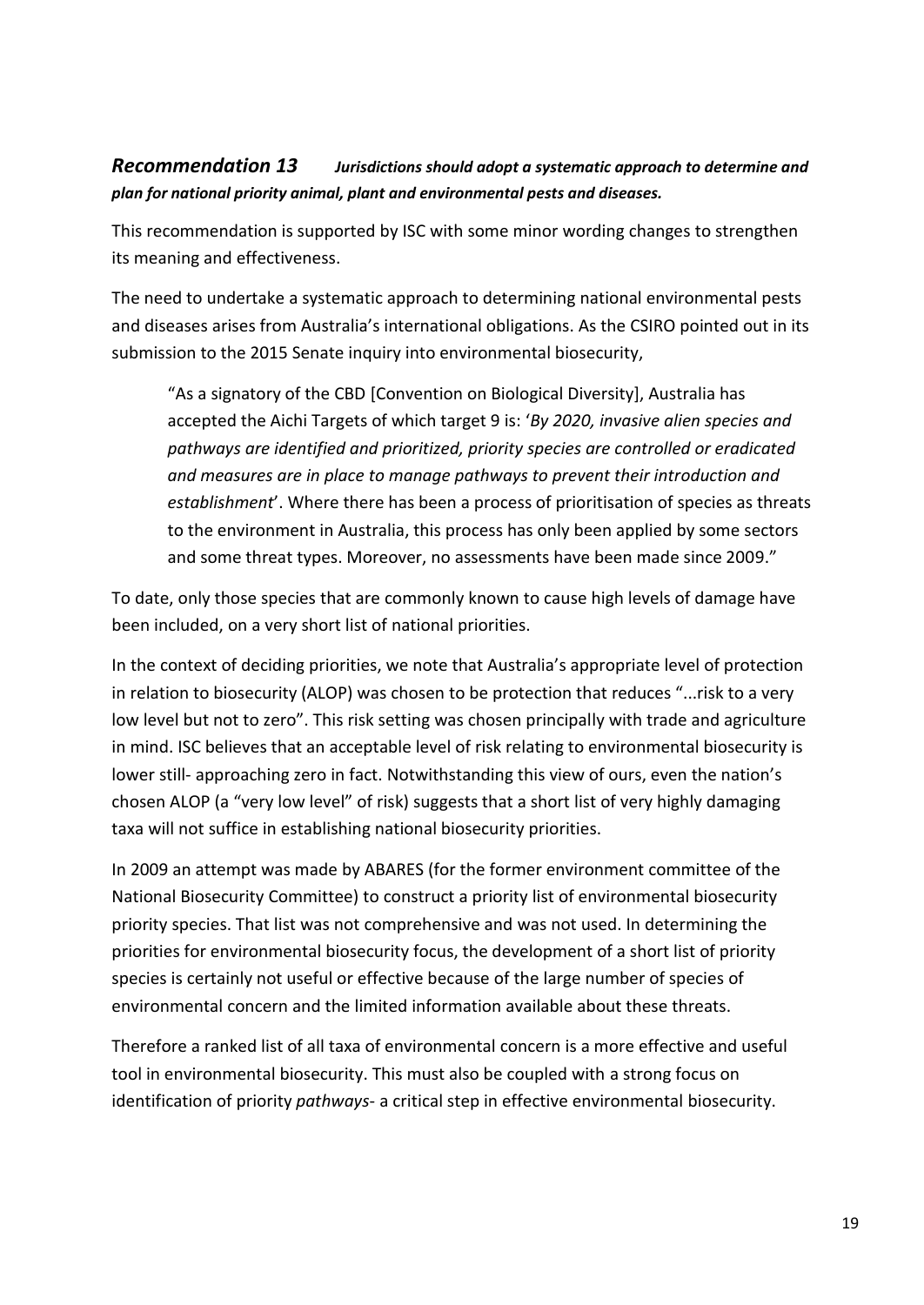#### <span id="page-18-0"></span>*[Recommendation 13](file:///C:/Users/Charlie/Documents/Charlie) Jurisdictions should adopt a systematic approach to determine and plan for national priority animal, plant and environmental pests and diseases.*

This recommendation is supported by ISC with some minor wording changes to strengthen its meaning and effectiveness.

The need to undertake a systematic approach to determining national environmental pests and diseases arises from Australia's international obligations. As the CSIRO pointed out in its submission to the 2015 Senate inquiry into environmental biosecurity,

"As a signatory of the CBD [Convention on Biological Diversity], Australia has accepted the Aichi Targets of which target 9 is: '*By 2020, invasive alien species and pathways are identified and prioritized, priority species are controlled or eradicated and measures are in place to manage pathways to prevent their introduction and establishment*'. Where there has been a process of prioritisation of species as threats to the environment in Australia, this process has only been applied by some sectors and some threat types. Moreover, no assessments have been made since 2009."

To date, only those species that are commonly known to cause high levels of damage have been included, on a very short list of national priorities.

In the context of deciding priorities, we note that Australia's appropriate level of protection in relation to biosecurity (ALOP) was chosen to be protection that reduces "...risk to a very low level but not to zero". This risk setting was chosen principally with trade and agriculture in mind. ISC believes that an acceptable level of risk relating to environmental biosecurity is lower still- approaching zero in fact. Notwithstanding this view of ours, even the nation's chosen ALOP (a "very low level" of risk) suggests that a short list of very highly damaging taxa will not suffice in establishing national biosecurity priorities.

In 2009 an attempt was made by ABARES (for the former environment committee of the National Biosecurity Committee) to construct a priority list of environmental biosecurity priority species. That list was not comprehensive and was not used. In determining the priorities for environmental biosecurity focus, the development of a short list of priority species is certainly not useful or effective because of the large number of species of environmental concern and the limited information available about these threats.

Therefore a ranked list of all taxa of environmental concern is a more effective and useful tool in environmental biosecurity. This must also be coupled with a strong focus on identification of priority *pathways*- a critical step in effective environmental biosecurity.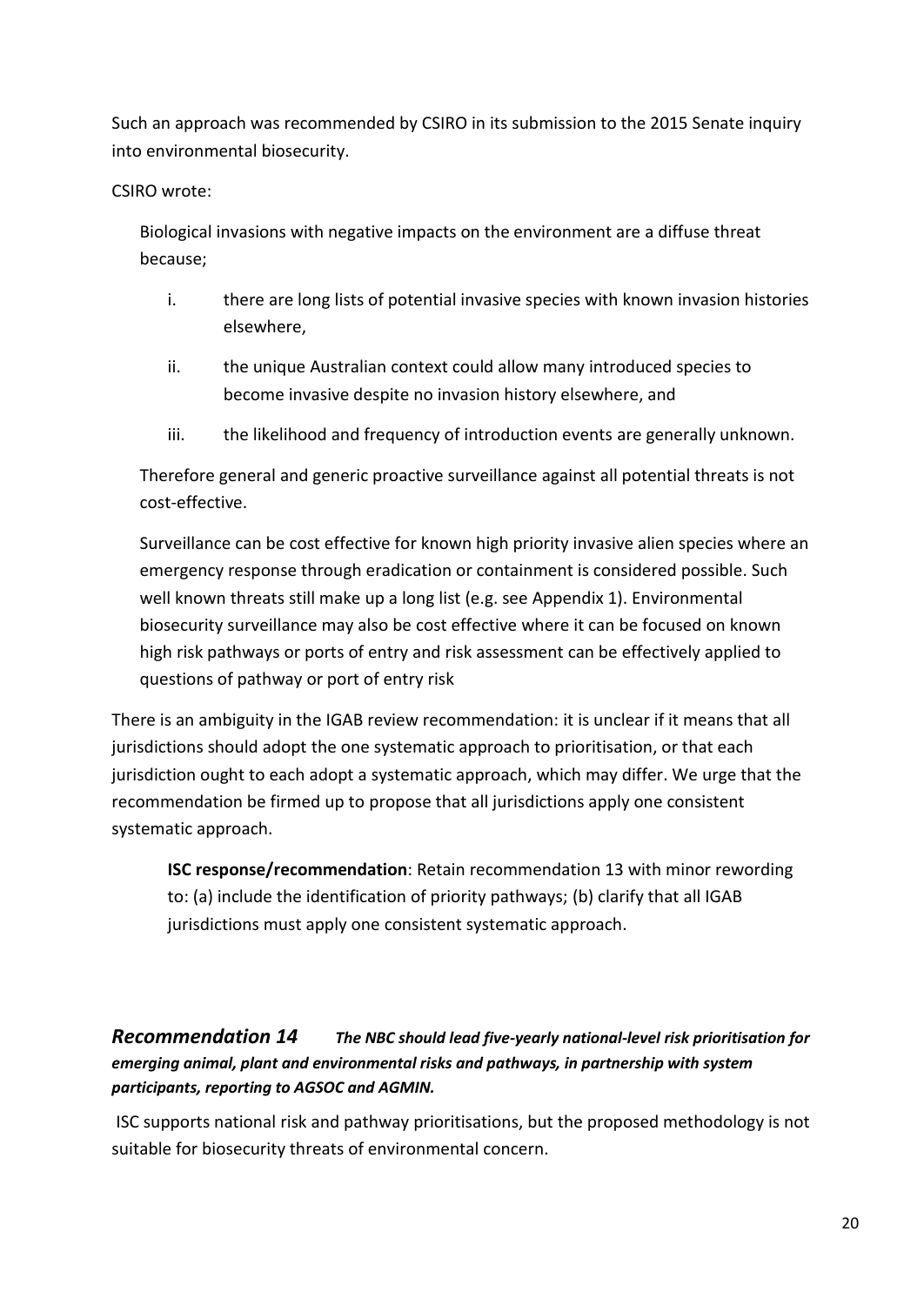Such an approach was recommended by CSIRO in its submission to the 2015 Senate inquiry into environmental biosecurity.

#### CSIRO wrote:

Biological invasions with negative impacts on the environment are a diffuse threat because;

- i. there are long lists of potential invasive species with known invasion histories elsewhere,
- ii. the unique Australian context could allow many introduced species to become invasive despite no invasion history elsewhere, and
- iii. the likelihood and frequency of introduction events are generally unknown.

Therefore general and generic proactive surveillance against all potential threats is not cost-effective.

Surveillance can be cost effective for known high priority invasive alien species where an emergency response through eradication or containment is considered possible. Such well known threats still make up a long list (e.g. see Appendix 1). Environmental biosecurity surveillance may also be cost effective where it can be focused on known high risk pathways or ports of entry and risk assessment can be effectively applied to questions of pathway or port of entry risk

There is an ambiguity in the IGAB review recommendation: it is unclear if it means that all jurisdictions should adopt the one systematic approach to prioritisation, or that each jurisdiction ought to each adopt a systematic approach, which may differ. We urge that the recommendation be firmed up to propose that all jurisdictions apply one consistent systematic approach.

**ISC response/recommendation**: Retain recommendation 13 with minor rewording to: (a) include the identification of priority pathways; (b) clarify that all IGAB jurisdictions must apply one consistent systematic approach.

#### <span id="page-19-0"></span>*[Recommendation 14](file:///C:/Users/Charlie/Documents/Charlie) The NBC should lead five-yearly national-level risk prioritisation for emerging animal, plant and environmental risks and pathways, in partnership with system participants, reporting to AGSOC and AGMIN.*

ISC supports national risk and pathway prioritisations, but the proposed methodology is not suitable for biosecurity threats of environmental concern.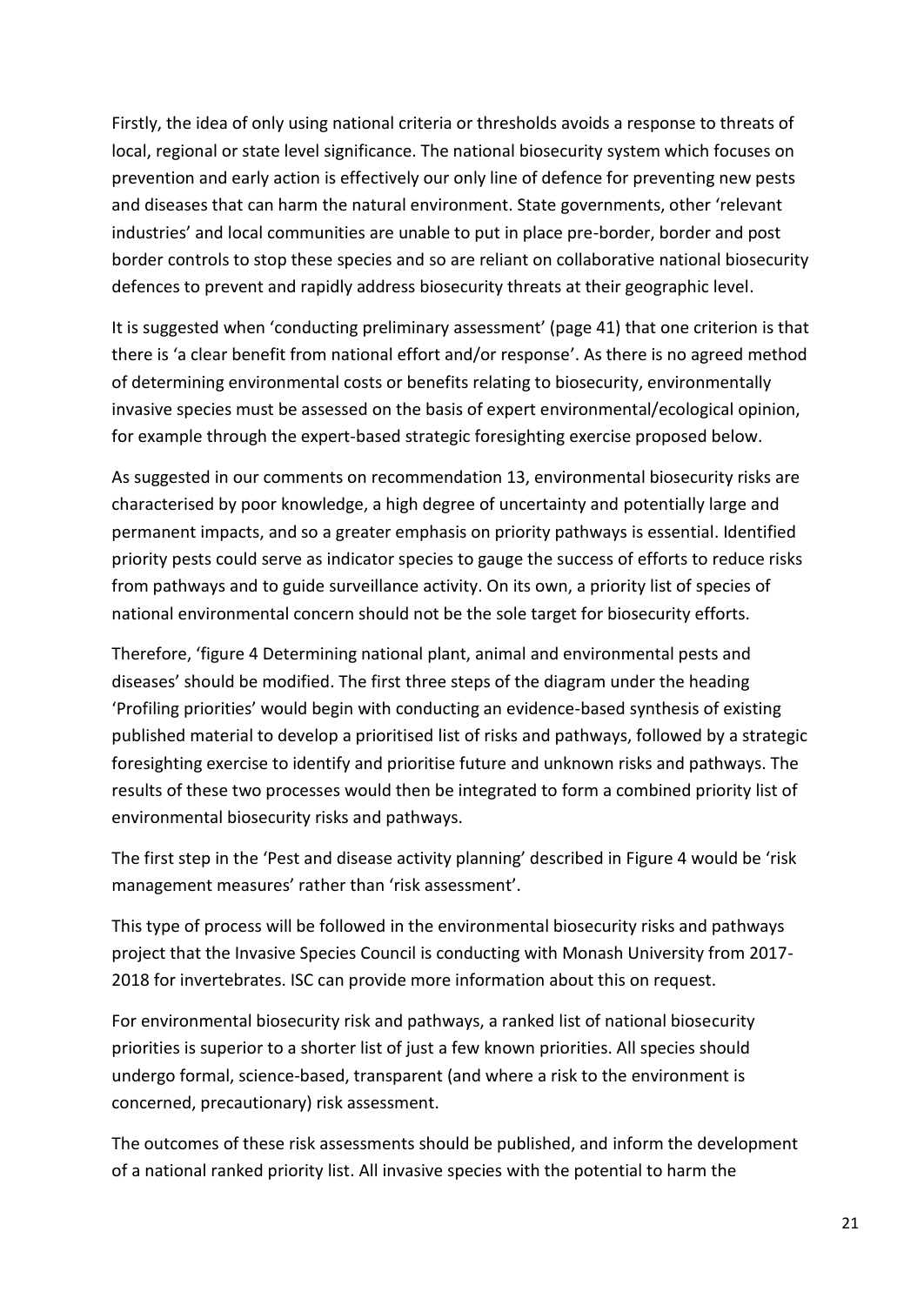Firstly, the idea of only using national criteria or thresholds avoids a response to threats of local, regional or state level significance. The national biosecurity system which focuses on prevention and early action is effectively our only line of defence for preventing new pests and diseases that can harm the natural environment. State governments, other 'relevant industries' and local communities are unable to put in place pre-border, border and post border controls to stop these species and so are reliant on collaborative national biosecurity defences to prevent and rapidly address biosecurity threats at their geographic level.

It is suggested when 'conducting preliminary assessment' (page 41) that one criterion is that there is 'a clear benefit from national effort and/or response'. As there is no agreed method of determining environmental costs or benefits relating to biosecurity, environmentally invasive species must be assessed on the basis of expert environmental/ecological opinion, for example through the expert-based strategic foresighting exercise proposed below.

As suggested in our comments on recommendation 13, environmental biosecurity risks are characterised by poor knowledge, a high degree of uncertainty and potentially large and permanent impacts, and so a greater emphasis on priority pathways is essential. Identified priority pests could serve as indicator species to gauge the success of efforts to reduce risks from pathways and to guide surveillance activity. On its own, a priority list of species of national environmental concern should not be the sole target for biosecurity efforts.

Therefore, 'figure 4 Determining national plant, animal and environmental pests and diseases' should be modified. The first three steps of the diagram under the heading 'Profiling priorities' would begin with conducting an evidence-based synthesis of existing published material to develop a prioritised list of risks and pathways, followed by a strategic foresighting exercise to identify and prioritise future and unknown risks and pathways. The results of these two processes would then be integrated to form a combined priority list of environmental biosecurity risks and pathways.

The first step in the 'Pest and disease activity planning' described in Figure 4 would be 'risk management measures' rather than 'risk assessment'.

This type of process will be followed in the environmental biosecurity risks and pathways project that the Invasive Species Council is conducting with Monash University from 2017- 2018 for invertebrates. ISC can provide more information about this on request.

For environmental biosecurity risk and pathways, a ranked list of national biosecurity priorities is superior to a shorter list of just a few known priorities. All species should undergo formal, science-based, transparent (and where a risk to the environment is concerned, precautionary) risk assessment.

The outcomes of these risk assessments should be published, and inform the development of a national ranked priority list. All invasive species with the potential to harm the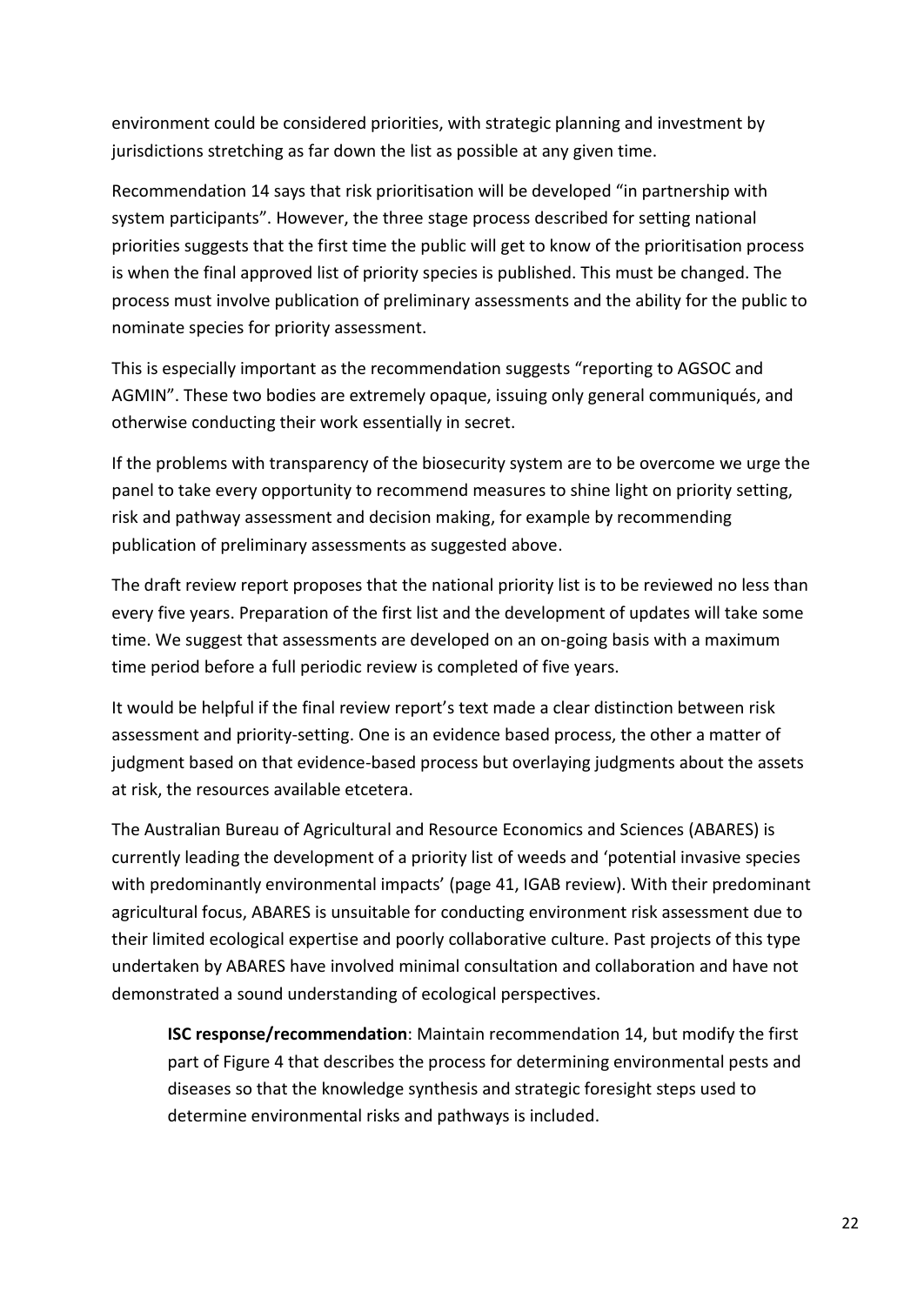environment could be considered priorities, with strategic planning and investment by jurisdictions stretching as far down the list as possible at any given time.

Recommendation 14 says that risk prioritisation will be developed "in partnership with system participants". However, the three stage process described for setting national priorities suggests that the first time the public will get to know of the prioritisation process is when the final approved list of priority species is published. This must be changed. The process must involve publication of preliminary assessments and the ability for the public to nominate species for priority assessment.

This is especially important as the recommendation suggests "reporting to AGSOC and AGMIN". These two bodies are extremely opaque, issuing only general communiqués, and otherwise conducting their work essentially in secret.

If the problems with transparency of the biosecurity system are to be overcome we urge the panel to take every opportunity to recommend measures to shine light on priority setting, risk and pathway assessment and decision making, for example by recommending publication of preliminary assessments as suggested above.

The draft review report proposes that the national priority list is to be reviewed no less than every five years. Preparation of the first list and the development of updates will take some time. We suggest that assessments are developed on an on-going basis with a maximum time period before a full periodic review is completed of five years.

It would be helpful if the final review report's text made a clear distinction between risk assessment and priority-setting. One is an evidence based process, the other a matter of judgment based on that evidence-based process but overlaying judgments about the assets at risk, the resources available etcetera.

The Australian Bureau of Agricultural and Resource Economics and Sciences (ABARES) is currently leading the development of a priority list of weeds and 'potential invasive species with predominantly environmental impacts' (page 41, IGAB review). With their predominant agricultural focus, ABARES is unsuitable for conducting environment risk assessment due to their limited ecological expertise and poorly collaborative culture. Past projects of this type undertaken by ABARES have involved minimal consultation and collaboration and have not demonstrated a sound understanding of ecological perspectives.

**ISC response/recommendation**: Maintain recommendation 14, but modify the first part of Figure 4 that describes the process for determining environmental pests and diseases so that the knowledge synthesis and strategic foresight steps used to determine environmental risks and pathways is included.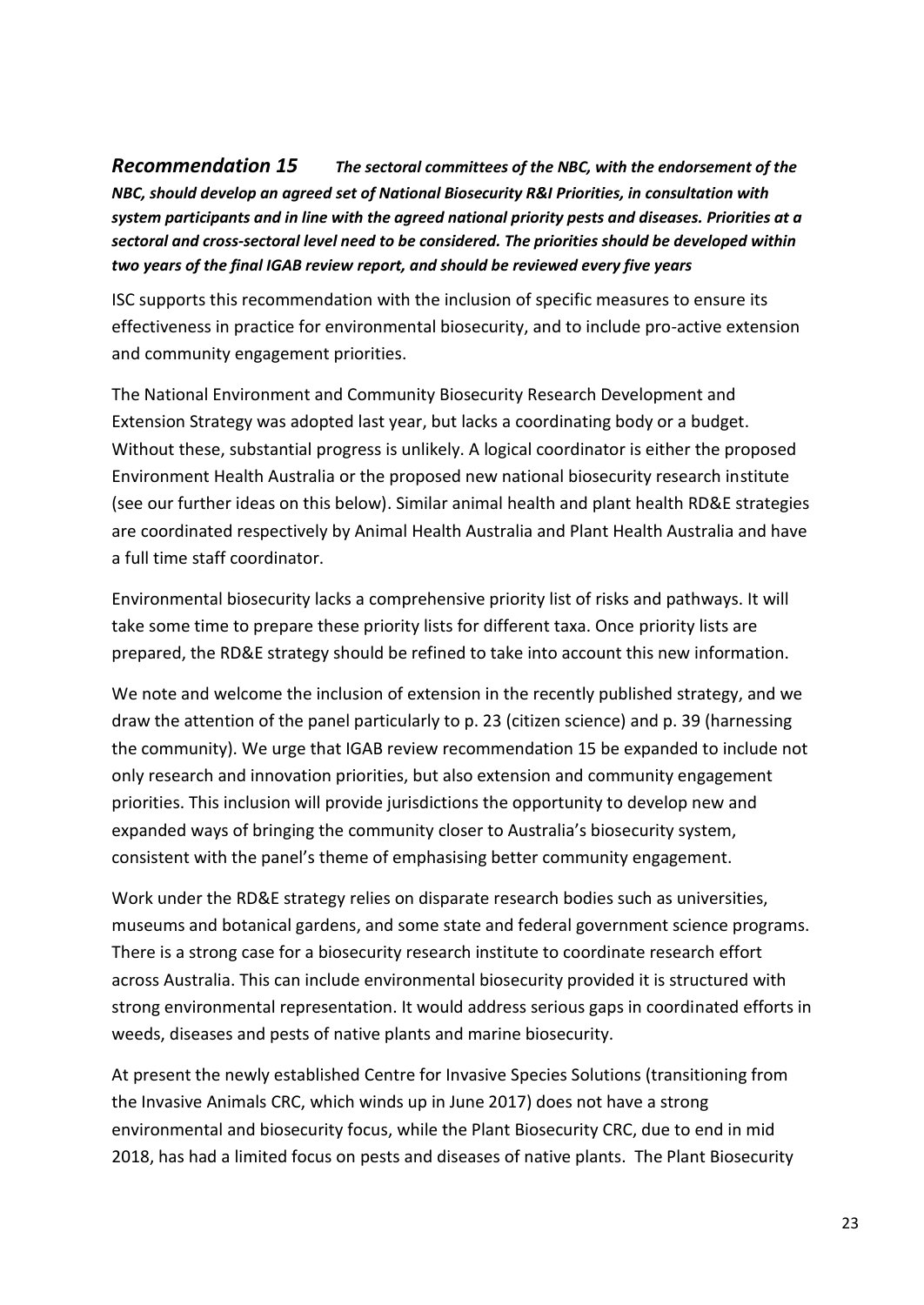<span id="page-22-0"></span>*Recommendation 15 The sectoral committees of the NBC, with the endorsement of the NBC, should develop an agreed set of National Biosecurity R&I Priorities, in consultation with system participants and in line with the agreed national priority pests and diseases. Priorities at a sectoral and cross-sectoral level need to be considered. The priorities should be developed within two years of the final IGAB review report, and should be reviewed every five years*

ISC supports this recommendation with the inclusion of specific measures to ensure its effectiveness in practice for environmental biosecurity, and to include pro-active extension and community engagement priorities.

The National Environment and Community Biosecurity Research Development and Extension Strategy was adopted last year, but lacks a coordinating body or a budget. Without these, substantial progress is unlikely. A logical coordinator is either the proposed Environment Health Australia or the proposed new national biosecurity research institute (see our further ideas on this below). Similar animal health and plant health RD&E strategies are coordinated respectively by Animal Health Australia and Plant Health Australia and have a full time staff coordinator.

Environmental biosecurity lacks a comprehensive priority list of risks and pathways. It will take some time to prepare these priority lists for different taxa. Once priority lists are prepared, the RD&E strategy should be refined to take into account this new information.

We note and welcome the inclusion of extension in the recently published strategy, and we draw the attention of the panel particularly to p. 23 (citizen science) and p. 39 (harnessing the community). We urge that IGAB review recommendation 15 be expanded to include not only research and innovation priorities, but also extension and community engagement priorities. This inclusion will provide jurisdictions the opportunity to develop new and expanded ways of bringing the community closer to Australia's biosecurity system, consistent with the panel's theme of emphasising better community engagement.

Work under the RD&E strategy relies on disparate research bodies such as universities, museums and botanical gardens, and some state and federal government science programs. There is a strong case for a biosecurity research institute to coordinate research effort across Australia. This can include environmental biosecurity provided it is structured with strong environmental representation. It would address serious gaps in coordinated efforts in weeds, diseases and pests of native plants and marine biosecurity.

At present the newly established Centre for Invasive Species Solutions (transitioning from the Invasive Animals CRC, which winds up in June 2017) does not have a strong environmental and biosecurity focus, while the Plant Biosecurity CRC, due to end in mid 2018, has had a limited focus on pests and diseases of native plants. The Plant Biosecurity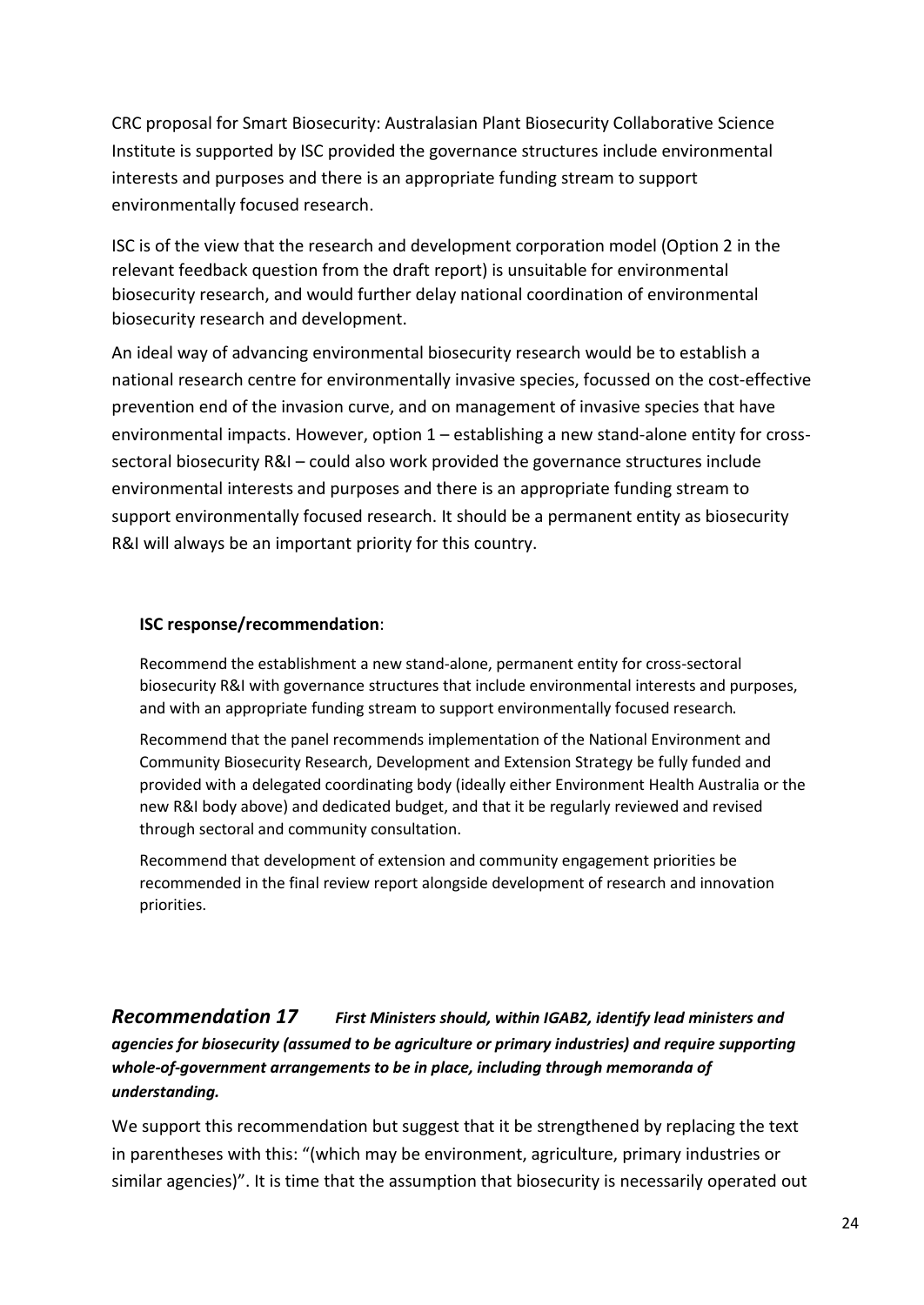CRC proposal for Smart Biosecurity: Australasian Plant Biosecurity Collaborative Science Institute is supported by ISC provided the governance structures include environmental interests and purposes and there is an appropriate funding stream to support environmentally focused research.

ISC is of the view that the research and development corporation model (Option 2 in the relevant feedback question from the draft report) is unsuitable for environmental biosecurity research, and would further delay national coordination of environmental biosecurity research and development.

An ideal way of advancing environmental biosecurity research would be to establish a national research centre for environmentally invasive species, focussed on the cost-effective prevention end of the invasion curve, and on management of invasive species that have environmental impacts. However, option 1 – establishing a new stand-alone entity for crosssectoral biosecurity R&I – could also work provided the governance structures include environmental interests and purposes and there is an appropriate funding stream to support environmentally focused research. It should be a permanent entity as biosecurity R&I will always be an important priority for this country.

#### **ISC response/recommendation**:

Recommend the establishment a new stand-alone, permanent entity for cross-sectoral biosecurity R&I with governance structures that include environmental interests and purposes, and with an appropriate funding stream to support environmentally focused research.

Recommend that the panel recommends implementation of the National Environment and Community Biosecurity Research, Development and Extension Strategy be fully funded and provided with a delegated coordinating body (ideally either Environment Health Australia or the new R&I body above) and dedicated budget, and that it be regularly reviewed and revised through sectoral and community consultation.

Recommend that development of extension and community engagement priorities be recommended in the final review report alongside development of research and innovation priorities.

<span id="page-23-0"></span>*[Recommendation 17](file:///C:/Users/Charlie/Documents/Charlie) First Ministers should, within IGAB2, identify lead ministers and agencies for biosecurity (assumed to be agriculture or primary industries) and require supporting whole-of-government arrangements to be in place, including through memoranda of understanding.*

We support this recommendation but suggest that it be strengthened by replacing the text in parentheses with this: "(which may be environment, agriculture, primary industries or similar agencies)". It is time that the assumption that biosecurity is necessarily operated out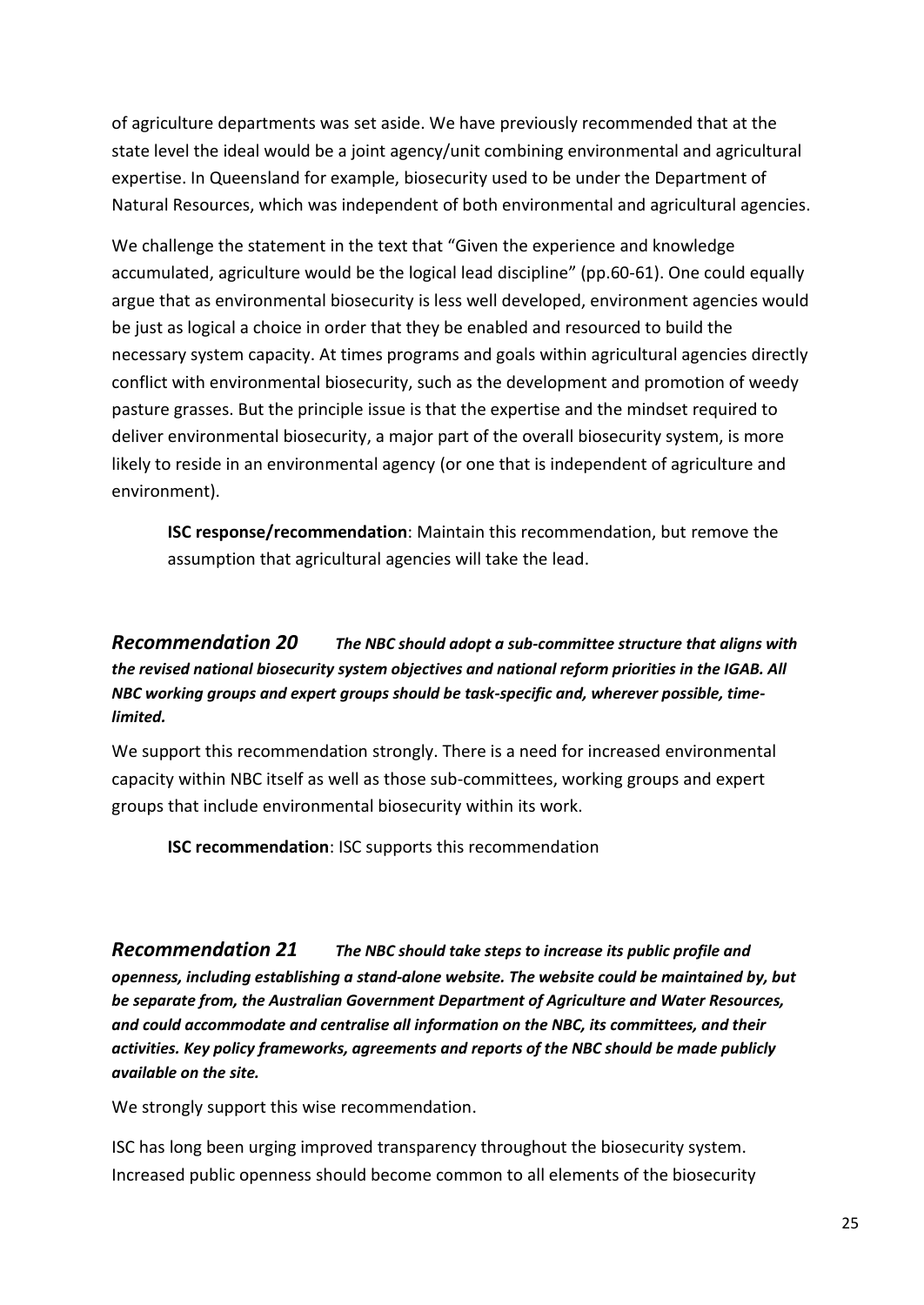of agriculture departments was set aside. We have previously recommended that at the state level the ideal would be a joint agency/unit combining environmental and agricultural expertise. In Queensland for example, biosecurity used to be under the Department of Natural Resources, which was independent of both environmental and agricultural agencies.

We challenge the statement in the text that "Given the experience and knowledge accumulated, agriculture would be the logical lead discipline" (pp.60-61). One could equally argue that as environmental biosecurity is less well developed, environment agencies would be just as logical a choice in order that they be enabled and resourced to build the necessary system capacity. At times programs and goals within agricultural agencies directly conflict with environmental biosecurity, such as the development and promotion of weedy pasture grasses. But the principle issue is that the expertise and the mindset required to deliver environmental biosecurity, a major part of the overall biosecurity system, is more likely to reside in an environmental agency (or one that is independent of agriculture and environment).

**ISC response/recommendation**: Maintain this recommendation, but remove the assumption that agricultural agencies will take the lead.

#### <span id="page-24-0"></span>*[Recommendation 20](file:///C:/Users/Charlie/Documents/Charlie) The NBC should adopt a sub-committee structure that aligns with the revised national biosecurity system objectives and national reform priorities in the IGAB. All NBC working groups and expert groups should be task-specific and, wherever possible, timelimited.*

We support this recommendation strongly. There is a need for increased environmental capacity within NBC itself as well as those sub-committees, working groups and expert groups that include environmental biosecurity within its work.

**ISC recommendation**: ISC supports this recommendation

<span id="page-24-1"></span>*[Recommendation 21](file:///C:/Users/Charlie/Documents/Charlie) The NBC should take steps to increase its public profile and openness, including establishing a stand-alone website. The website could be maintained by, but be separate from, the Australian Government Department of Agriculture and Water Resources, and could accommodate and centralise all information on the NBC, its committees, and their activities. Key policy frameworks, agreements and reports of the NBC should be made publicly available on the site.*

We strongly support this wise recommendation.

ISC has long been urging improved transparency throughout the biosecurity system. Increased public openness should become common to all elements of the biosecurity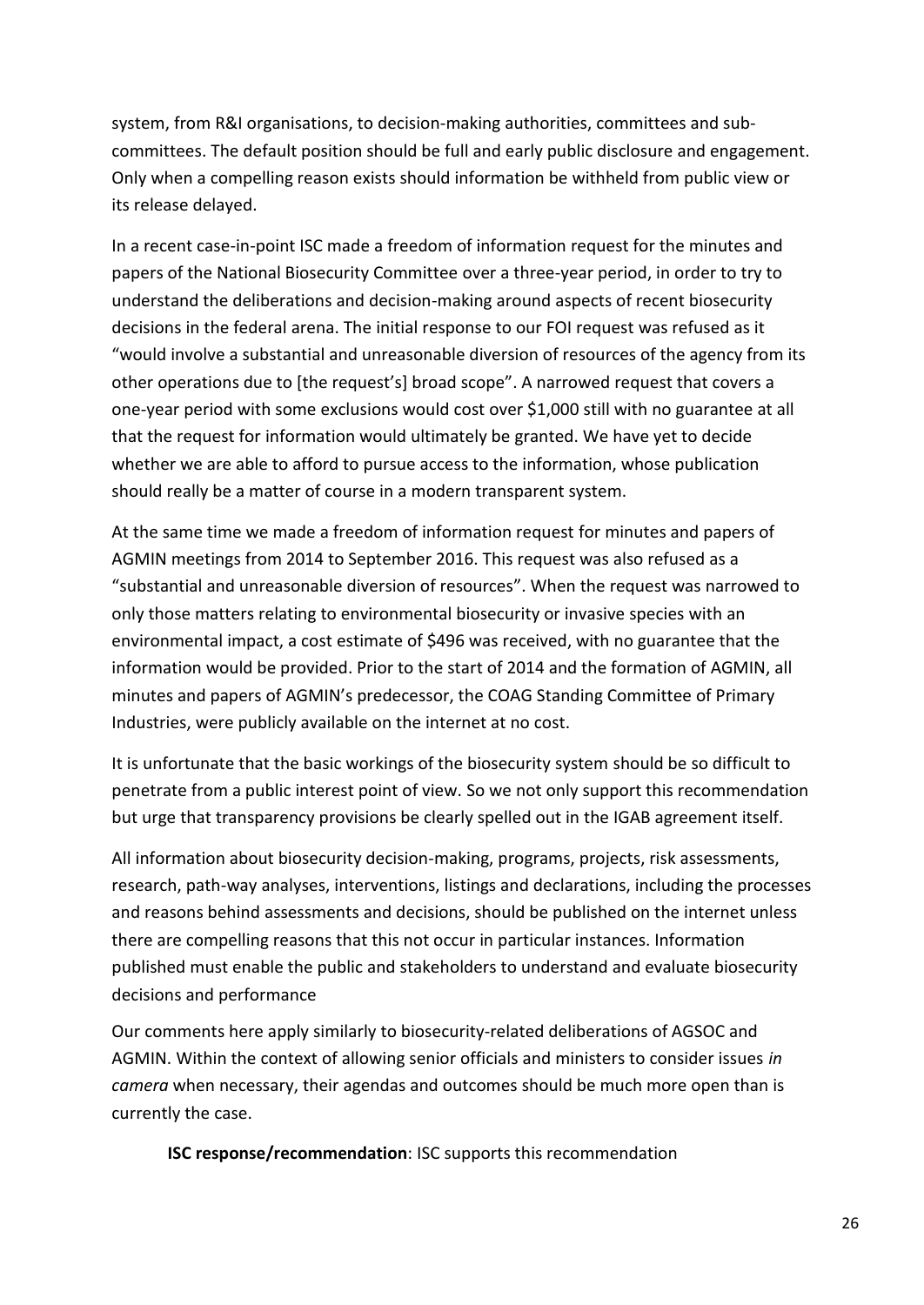system, from R&I organisations, to decision-making authorities, committees and subcommittees. The default position should be full and early public disclosure and engagement. Only when a compelling reason exists should information be withheld from public view or its release delayed.

In a recent case-in-point ISC made a freedom of information request for the minutes and papers of the National Biosecurity Committee over a three-year period, in order to try to understand the deliberations and decision-making around aspects of recent biosecurity decisions in the federal arena. The initial response to our FOI request was refused as it "would involve a substantial and unreasonable diversion of resources of the agency from its other operations due to [the request's] broad scope". A narrowed request that covers a one-year period with some exclusions would cost over \$1,000 still with no guarantee at all that the request for information would ultimately be granted. We have yet to decide whether we are able to afford to pursue access to the information, whose publication should really be a matter of course in a modern transparent system.

At the same time we made a freedom of information request for minutes and papers of AGMIN meetings from 2014 to September 2016. This request was also refused as a "substantial and unreasonable diversion of resources". When the request was narrowed to only those matters relating to environmental biosecurity or invasive species with an environmental impact, a cost estimate of \$496 was received, with no guarantee that the information would be provided. Prior to the start of 2014 and the formation of AGMIN, all minutes and papers of AGMIN's predecessor, the COAG Standing Committee of Primary Industries, were publicly available on the internet at no cost.

It is unfortunate that the basic workings of the biosecurity system should be so difficult to penetrate from a public interest point of view. So we not only support this recommendation but urge that transparency provisions be clearly spelled out in the IGAB agreement itself.

All information about biosecurity decision-making, programs, projects, risk assessments, research, path-way analyses, interventions, listings and declarations, including the processes and reasons behind assessments and decisions, should be published on the internet unless there are compelling reasons that this not occur in particular instances. Information published must enable the public and stakeholders to understand and evaluate biosecurity decisions and performance

Our comments here apply similarly to biosecurity-related deliberations of AGSOC and AGMIN. Within the context of allowing senior officials and ministers to consider issues *in camera* when necessary, their agendas and outcomes should be much more open than is currently the case.

**ISC response/recommendation**: ISC supports this recommendation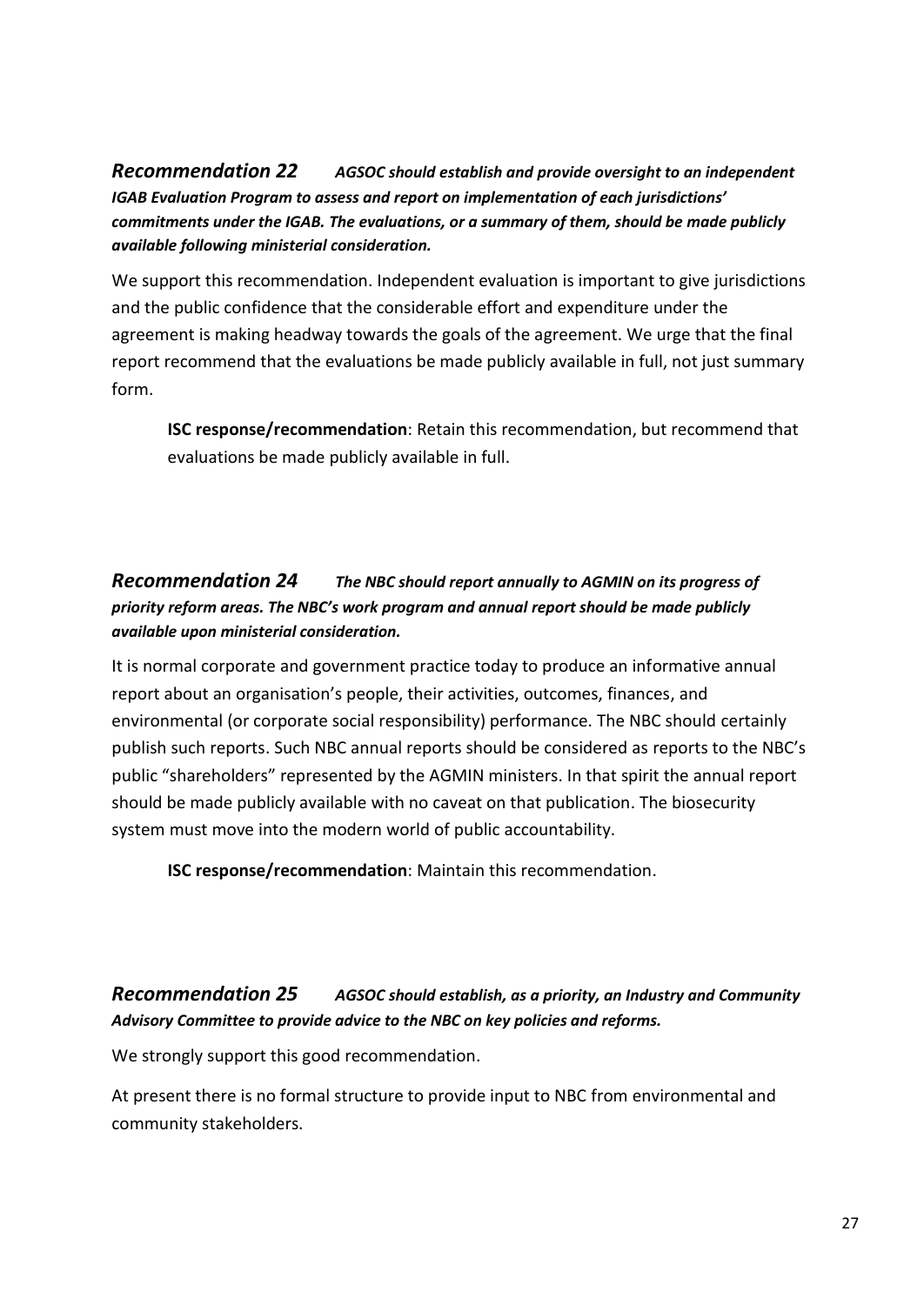<span id="page-26-0"></span>*[Recommendation 22](file:///C:/Users/Charlie/Documents/Charlie) AGSOC should establish and provide oversight to an independent IGAB Evaluation Program to assess and report on implementation of each jurisdictions' commitments under the IGAB. The evaluations, or a summary of them, should be made publicly available following ministerial consideration.*

We support this recommendation. Independent evaluation is important to give jurisdictions and the public confidence that the considerable effort and expenditure under the agreement is making headway towards the goals of the agreement. We urge that the final report recommend that the evaluations be made publicly available in full, not just summary form.

**ISC response/recommendation**: Retain this recommendation, but recommend that evaluations be made publicly available in full.

### <span id="page-26-1"></span>*[Recommendation 24](file:///C:/Users/Charlie/Documents/Charlie) The NBC should report annually to AGMIN on its progress of priority reform areas. The NBC's work program and annual report should be made publicly available upon ministerial consideration.*

It is normal corporate and government practice today to produce an informative annual report about an organisation's people, their activities, outcomes, finances, and environmental (or corporate social responsibility) performance. The NBC should certainly publish such reports. Such NBC annual reports should be considered as reports to the NBC's public "shareholders" represented by the AGMIN ministers. In that spirit the annual report should be made publicly available with no caveat on that publication. The biosecurity system must move into the modern world of public accountability.

**ISC response/recommendation**: Maintain this recommendation.

### <span id="page-26-2"></span>*[Recommendation 25](file:///C:/Users/Charlie/Documents/Charlie) AGSOC should establish, as a priority, an Industry and Community Advisory Committee to provide advice to the NBC on key policies and reforms.*

We strongly support this good recommendation.

At present there is no formal structure to provide input to NBC from environmental and community stakeholders.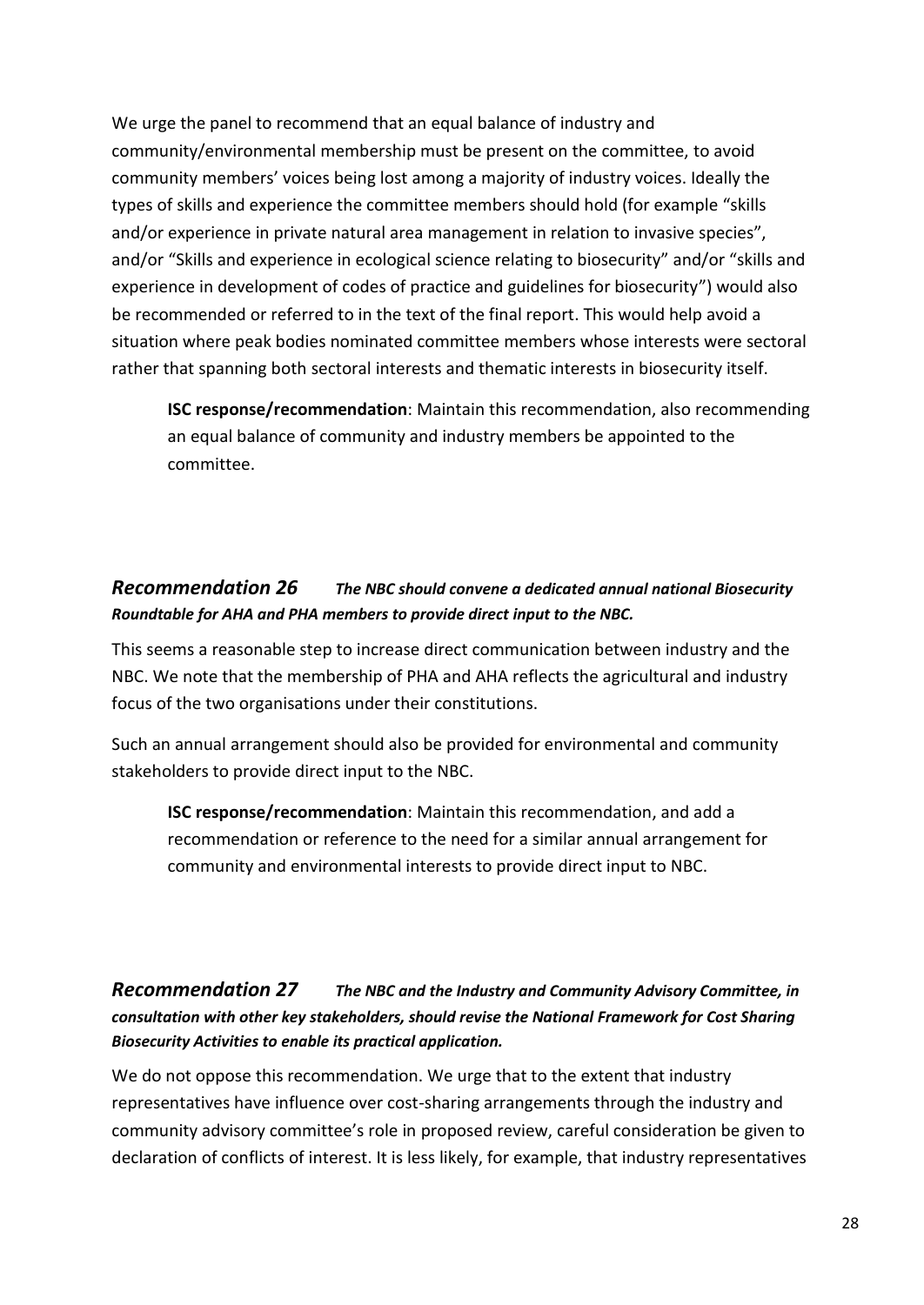We urge the panel to recommend that an equal balance of industry and community/environmental membership must be present on the committee, to avoid community members' voices being lost among a majority of industry voices. Ideally the types of skills and experience the committee members should hold (for example "skills and/or experience in private natural area management in relation to invasive species", and/or "Skills and experience in ecological science relating to biosecurity" and/or "skills and experience in development of codes of practice and guidelines for biosecurity") would also be recommended or referred to in the text of the final report. This would help avoid a situation where peak bodies nominated committee members whose interests were sectoral rather that spanning both sectoral interests and thematic interests in biosecurity itself.

**ISC response/recommendation**: Maintain this recommendation, also recommending an equal balance of community and industry members be appointed to the committee.

#### <span id="page-27-0"></span>*[Recommendation 26](file:///C:/Users/Charlie/Documents/Charlie) The NBC should convene a dedicated annual national Biosecurity Roundtable for AHA and PHA members to provide direct input to the NBC.*

This seems a reasonable step to increase direct communication between industry and the NBC. We note that the membership of PHA and AHA reflects the agricultural and industry focus of the two organisations under their constitutions.

Such an annual arrangement should also be provided for environmental and community stakeholders to provide direct input to the NBC.

**ISC response/recommendation**: Maintain this recommendation, and add a recommendation or reference to the need for a similar annual arrangement for community and environmental interests to provide direct input to NBC.

#### <span id="page-27-1"></span>*[Recommendation 27](file:///C:/Users/Charlie/Documents/Charlie) The NBC and the Industry and Community Advisory Committee, in consultation with other key stakeholders, should revise the National Framework for Cost Sharing Biosecurity Activities to enable its practical application.*

We do not oppose this recommendation. We urge that to the extent that industry representatives have influence over cost-sharing arrangements through the industry and community advisory committee's role in proposed review, careful consideration be given to declaration of conflicts of interest. It is less likely, for example, that industry representatives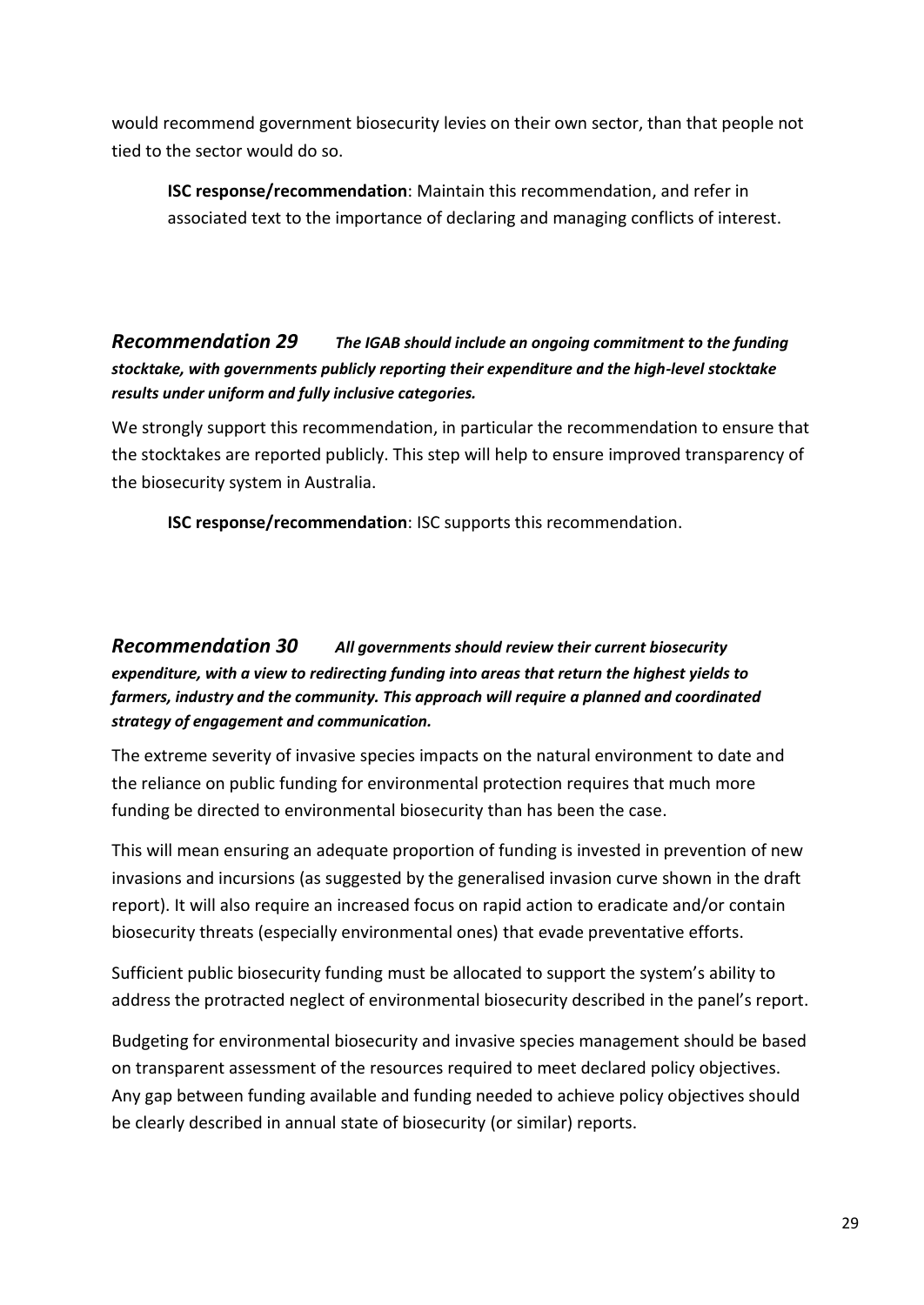would recommend government biosecurity levies on their own sector, than that people not tied to the sector would do so.

**ISC response/recommendation**: Maintain this recommendation, and refer in associated text to the importance of declaring and managing conflicts of interest.

#### <span id="page-28-0"></span>*[Recommendation 29](file:///C:/Users/Charlie/Documents/Charlie) The IGAB should include an ongoing commitment to the funding stocktake, with governments publicly reporting their expenditure and the high-level stocktake results under uniform and fully inclusive categories.*

We strongly support this recommendation, in particular the recommendation to ensure that the stocktakes are reported publicly. This step will help to ensure improved transparency of the biosecurity system in Australia.

**ISC response/recommendation**: ISC supports this recommendation.

#### <span id="page-28-1"></span>*[Recommendation 30](file:///C:/Users/Charlie/Documents/Charlie) All governments should review their current biosecurity expenditure, with a view to redirecting funding into areas that return the highest yields to farmers, industry and the community. This approach will require a planned and coordinated strategy of engagement and communication.*

The extreme severity of invasive species impacts on the natural environment to date and the reliance on public funding for environmental protection requires that much more funding be directed to environmental biosecurity than has been the case.

This will mean ensuring an adequate proportion of funding is invested in prevention of new invasions and incursions (as suggested by the generalised invasion curve shown in the draft report). It will also require an increased focus on rapid action to eradicate and/or contain biosecurity threats (especially environmental ones) that evade preventative efforts.

Sufficient public biosecurity funding must be allocated to support the system's ability to address the protracted neglect of environmental biosecurity described in the panel's report.

Budgeting for environmental biosecurity and invasive species management should be based on transparent assessment of the resources required to meet declared policy objectives. Any gap between funding available and funding needed to achieve policy objectives should be clearly described in annual state of biosecurity (or similar) reports.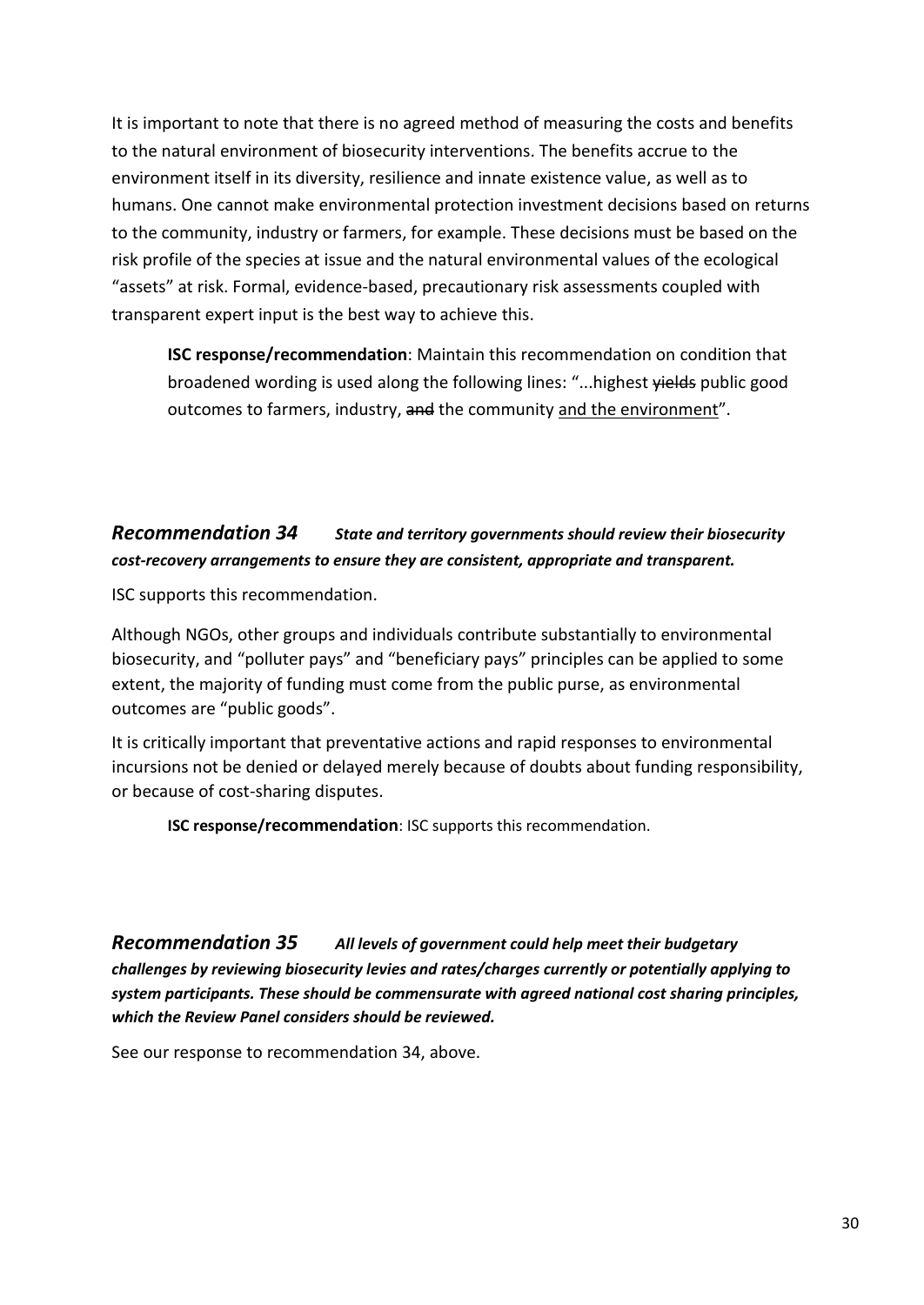It is important to note that there is no agreed method of measuring the costs and benefits to the natural environment of biosecurity interventions. The benefits accrue to the environment itself in its diversity, resilience and innate existence value, as well as to humans. One cannot make environmental protection investment decisions based on returns to the community, industry or farmers, for example. These decisions must be based on the risk profile of the species at issue and the natural environmental values of the ecological "assets" at risk. Formal, evidence-based, precautionary risk assessments coupled with transparent expert input is the best way to achieve this.

**ISC response/recommendation**: Maintain this recommendation on condition that broadened wording is used along the following lines: "...highest yields public good outcomes to farmers, industry, and the community and the environment".

### <span id="page-29-0"></span>*[Recommendation 34](file:///C:/Users/Charlie/Documents/Charlie) State and territory governments should review their biosecurity cost-recovery arrangements to ensure they are consistent, appropriate and transparent.*

ISC supports this recommendation.

Although NGOs, other groups and individuals contribute substantially to environmental biosecurity, and "polluter pays" and "beneficiary pays" principles can be applied to some extent, the majority of funding must come from the public purse, as environmental outcomes are "public goods".

It is critically important that preventative actions and rapid responses to environmental incursions not be denied or delayed merely because of doubts about funding responsibility, or because of cost-sharing disputes.

**ISC response/recommendation**: ISC supports this recommendation.

<span id="page-29-1"></span>*[Recommendation 35](file:///C:/Users/Charlie/Documents/Charlie) All levels of government could help meet their budgetary challenges by reviewing biosecurity levies and rates/charges currently or potentially applying to system participants. These should be commensurate with agreed national cost sharing principles, which the Review Panel considers should be reviewed.*

See our response to recommendation 34, above.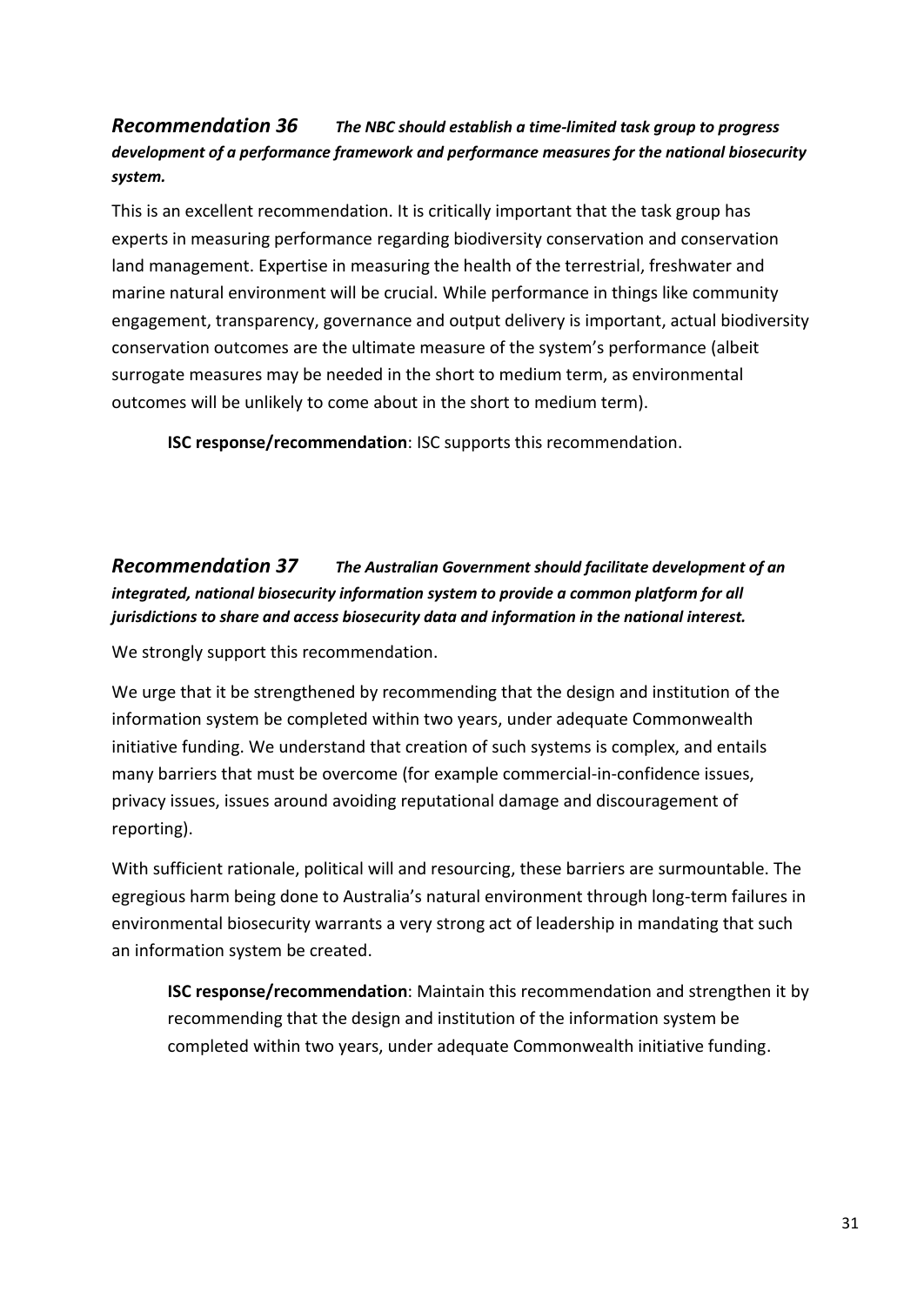#### <span id="page-30-0"></span>*[Recommendation 36](file:///C:/Users/Charlie/Documents/Charlie) The NBC should establish a time-limited task group to progress development of a performance framework and performance measures for the national biosecurity system.*

This is an excellent recommendation. It is critically important that the task group has experts in measuring performance regarding biodiversity conservation and conservation land management. Expertise in measuring the health of the terrestrial, freshwater and marine natural environment will be crucial. While performance in things like community engagement, transparency, governance and output delivery is important, actual biodiversity conservation outcomes are the ultimate measure of the system's performance (albeit surrogate measures may be needed in the short to medium term, as environmental outcomes will be unlikely to come about in the short to medium term).

**ISC response/recommendation**: ISC supports this recommendation.

<span id="page-30-1"></span>*[Recommendation 37](file:///C:/Users/Charlie/Documents/Charlie) The Australian Government should facilitate development of an integrated, national biosecurity information system to provide a common platform for all jurisdictions to share and access biosecurity data and information in the national interest.*

We strongly support this recommendation.

We urge that it be strengthened by recommending that the design and institution of the information system be completed within two years, under adequate Commonwealth initiative funding. We understand that creation of such systems is complex, and entails many barriers that must be overcome (for example commercial-in-confidence issues, privacy issues, issues around avoiding reputational damage and discouragement of reporting).

With sufficient rationale, political will and resourcing, these barriers are surmountable. The egregious harm being done to Australia's natural environment through long-term failures in environmental biosecurity warrants a very strong act of leadership in mandating that such an information system be created.

**ISC response/recommendation**: Maintain this recommendation and strengthen it by recommending that the design and institution of the information system be completed within two years, under adequate Commonwealth initiative funding.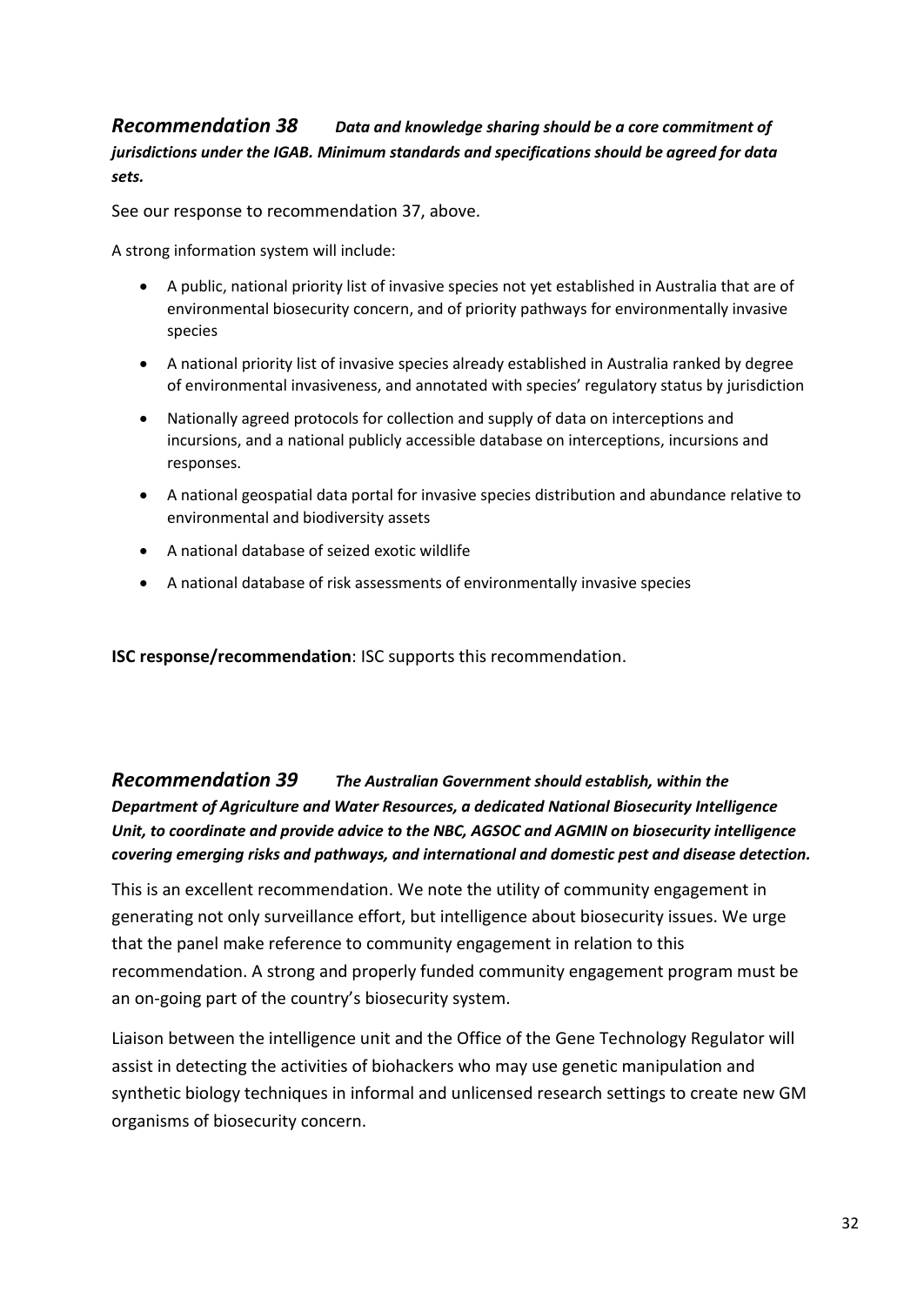#### <span id="page-31-0"></span>*[Recommendation 38](file:///C:/Users/Charlie/Documents/Charlie) Data and knowledge sharing should be a core commitment of jurisdictions under the IGAB. Minimum standards and specifications should be agreed for data sets.*

See our response to recommendation 37, above.

A strong information system will include:

- A public, national priority list of invasive species not yet established in Australia that are of environmental biosecurity concern, and of priority pathways for environmentally invasive species
- A national priority list of invasive species already established in Australia ranked by degree of environmental invasiveness, and annotated with species' regulatory status by jurisdiction
- Nationally agreed protocols for collection and supply of data on interceptions and incursions, and a national publicly accessible database on interceptions, incursions and responses.
- A national geospatial data portal for invasive species distribution and abundance relative to environmental and biodiversity assets
- A national database of seized exotic wildlife
- A national database of risk assessments of environmentally invasive species

**ISC response/recommendation**: ISC supports this recommendation.

<span id="page-31-1"></span>*[Recommendation 39](file:///C:/Users/Charlie/Documents/Charlie) The Australian Government should establish, within the Department of Agriculture and Water Resources, a dedicated National Biosecurity Intelligence Unit, to coordinate and provide advice to the NBC, AGSOC and AGMIN on biosecurity intelligence covering emerging risks and pathways, and international and domestic pest and disease detection.*

This is an excellent recommendation. We note the utility of community engagement in generating not only surveillance effort, but intelligence about biosecurity issues. We urge that the panel make reference to community engagement in relation to this recommendation. A strong and properly funded community engagement program must be an on-going part of the country's biosecurity system.

Liaison between the intelligence unit and the Office of the Gene Technology Regulator will assist in detecting the activities of biohackers who may use genetic manipulation and synthetic biology techniques in informal and unlicensed research settings to create new GM organisms of biosecurity concern.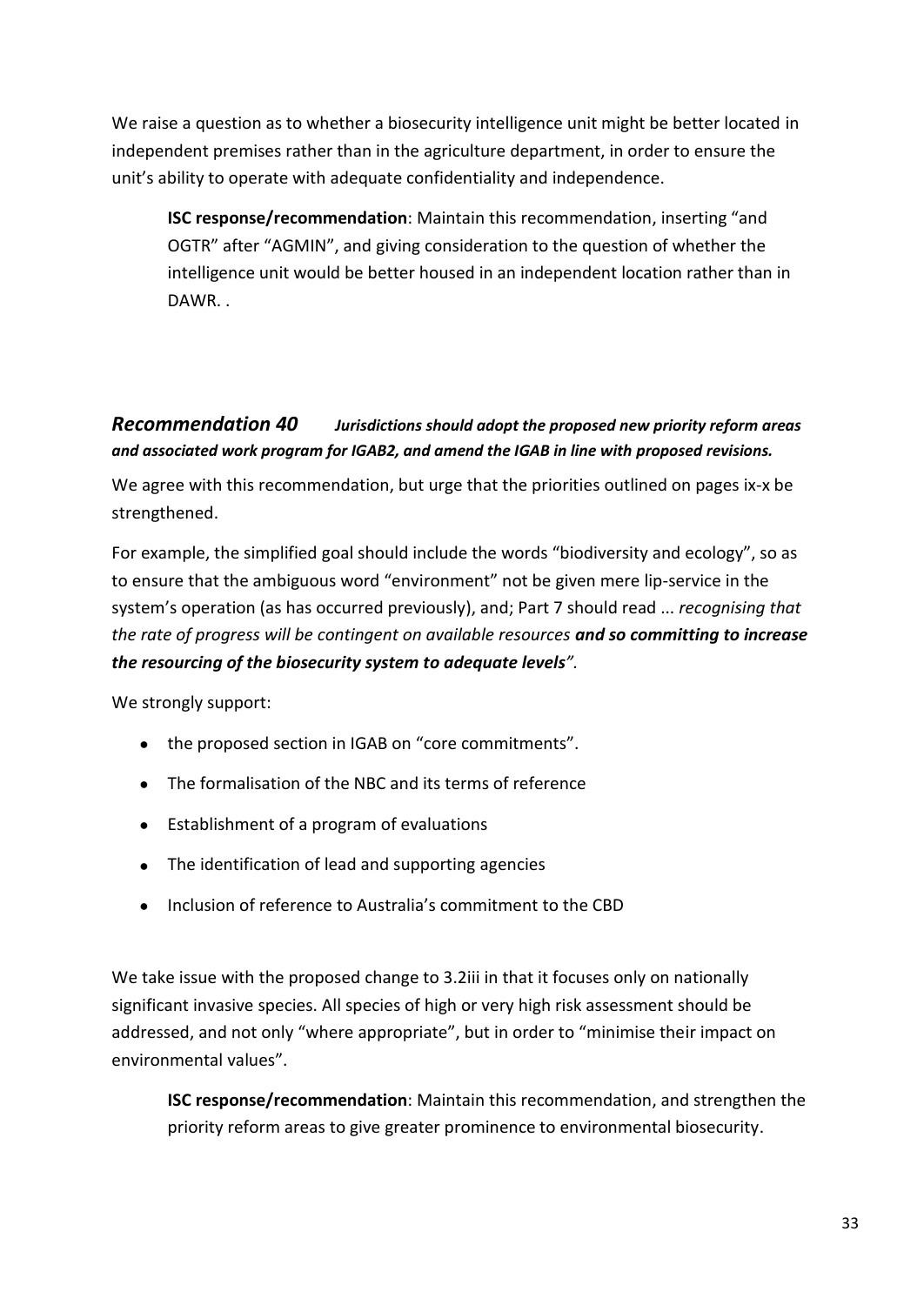We raise a question as to whether a biosecurity intelligence unit might be better located in independent premises rather than in the agriculture department, in order to ensure the unit's ability to operate with adequate confidentiality and independence.

**ISC response/recommendation**: Maintain this recommendation, inserting "and OGTR" after "AGMIN", and giving consideration to the question of whether the intelligence unit would be better housed in an independent location rather than in DAWR. .

### <span id="page-32-0"></span>*[Recommendation 40](file:///C:/Users/Charlie/Documents/Charlie) Jurisdictions should adopt the proposed new priority reform areas and associated work program for IGAB2, and amend the IGAB in line with proposed revisions.*

We agree with this recommendation, but urge that the priorities outlined on pages ix-x be strengthened.

For example, the simplified goal should include the words "biodiversity and ecology", so as to ensure that the ambiguous word "environment" not be given mere lip-service in the system's operation (as has occurred previously), and; Part 7 should read ... *recognising that the rate of progress will be contingent on available resources and so committing to increase the resourcing of the biosecurity system to adequate levels".* 

We strongly support:

- the proposed section in IGAB on "core commitments".
- The formalisation of the NBC and its terms of reference
- Establishment of a program of evaluations
- The identification of lead and supporting agencies
- Inclusion of reference to Australia's commitment to the CBD

We take issue with the proposed change to 3.2iii in that it focuses only on nationally significant invasive species. All species of high or very high risk assessment should be addressed, and not only "where appropriate", but in order to "minimise their impact on environmental values".

**ISC response/recommendation**: Maintain this recommendation, and strengthen the priority reform areas to give greater prominence to environmental biosecurity.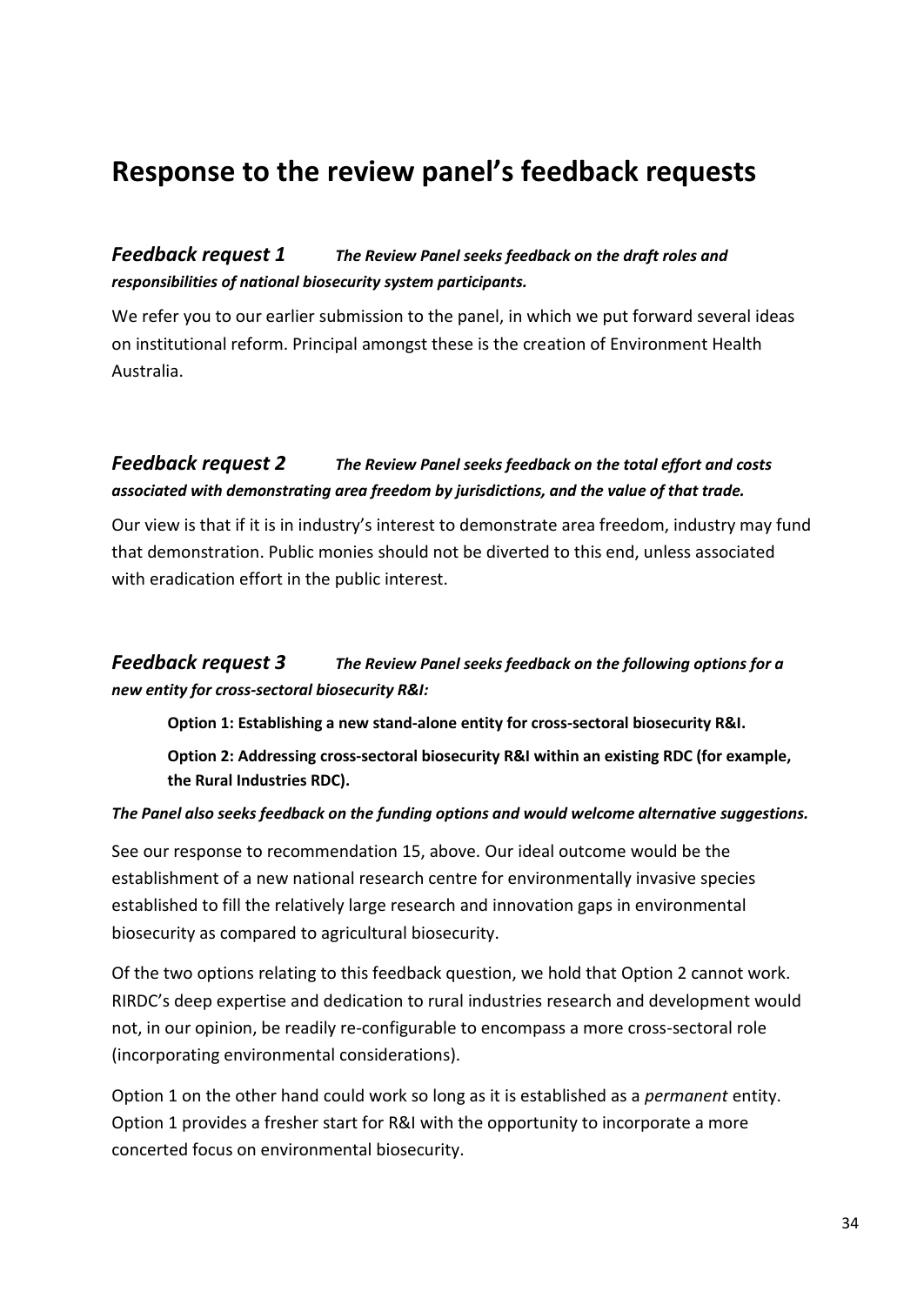# <span id="page-33-0"></span>**Response to the review panel's feedback requests**

#### <span id="page-33-1"></span>*[Feedback request 1](file:///C:/Users/Charlie/Documents/Charlie) The Review Panel seeks feedback on the draft roles and responsibilities of national biosecurity system participants.*

We refer you to our earlier submission to the panel, in which we put forward several ideas on institutional reform. Principal amongst these is the creation of Environment Health Australia.

#### <span id="page-33-2"></span>*[Feedback request 2](file:///C:/Users/Charlie/Documents/Charlie) The Review Panel seeks feedback on the total effort and costs associated with demonstrating area freedom by jurisdictions, and the value of that trade.*

Our view is that if it is in industry's interest to demonstrate area freedom, industry may fund that demonstration. Public monies should not be diverted to this end, unless associated with eradication effort in the public interest.

#### <span id="page-33-3"></span>*[Feedback request 3](file:///C:/Users/Charlie/Documents/Charlie) The Review Panel seeks feedback on the following options for a new entity for cross-sectoral biosecurity R&I:*

**Option 1: Establishing a new stand-alone entity for cross-sectoral biosecurity R&I.**

**Option 2: Addressing cross-sectoral biosecurity R&I within an existing RDC (for example, the Rural Industries RDC).**

#### *The Panel also seeks feedback on the funding options and would welcome alternative suggestions.*

See our response to recommendation 15, above. Our ideal outcome would be the establishment of a new national research centre for environmentally invasive species established to fill the relatively large research and innovation gaps in environmental biosecurity as compared to agricultural biosecurity.

Of the two options relating to this feedback question, we hold that Option 2 cannot work. RIRDC's deep expertise and dedication to rural industries research and development would not, in our opinion, be readily re-configurable to encompass a more cross-sectoral role (incorporating environmental considerations).

Option 1 on the other hand could work so long as it is established as a *permanent* entity. Option 1 provides a fresher start for R&I with the opportunity to incorporate a more concerted focus on environmental biosecurity.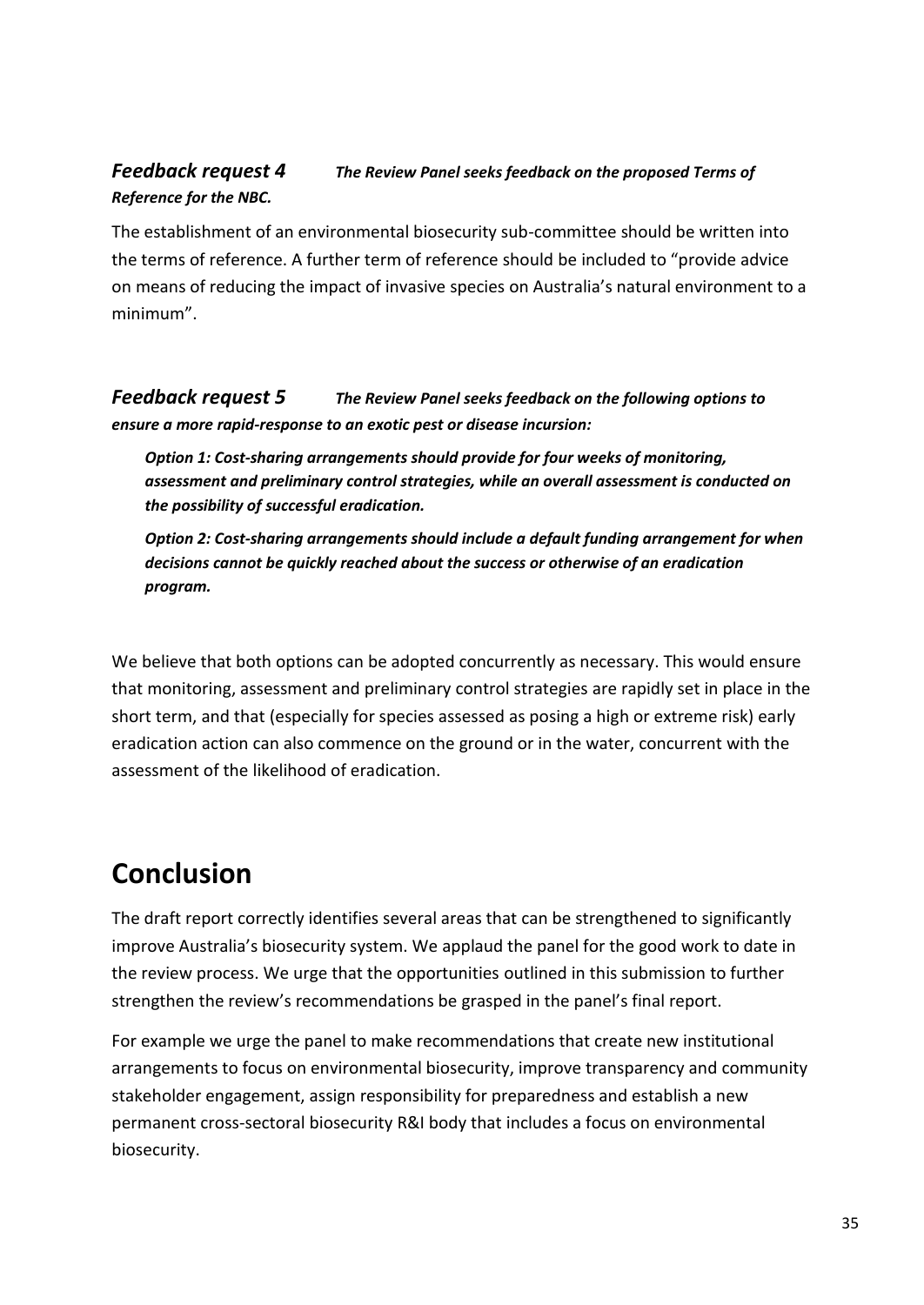### <span id="page-34-0"></span>*[Feedback request 4](file:///C:/Users/Charlie/Documents/Charlie) The Review Panel seeks feedback on the proposed Terms of Reference for the NBC.*

The establishment of an environmental biosecurity sub-committee should be written into the terms of reference. A further term of reference should be included to "provide advice on means of reducing the impact of invasive species on Australia's natural environment to a minimum".

<span id="page-34-1"></span>*[Feedback request 5](file:///C:/Users/Charlie/Documents/Charlie) The Review Panel seeks feedback on the following options to ensure a more rapid-response to an exotic pest or disease incursion:*

*Option 1: Cost-sharing arrangements should provide for four weeks of monitoring, assessment and preliminary control strategies, while an overall assessment is conducted on the possibility of successful eradication.*

*Option 2: Cost-sharing arrangements should include a default funding arrangement for when decisions cannot be quickly reached about the success or otherwise of an eradication program.*

We believe that both options can be adopted concurrently as necessary. This would ensure that monitoring, assessment and preliminary control strategies are rapidly set in place in the short term, and that (especially for species assessed as posing a high or extreme risk) early eradication action can also commence on the ground or in the water, concurrent with the assessment of the likelihood of eradication.

# <span id="page-34-2"></span>**Conclusion**

The draft report correctly identifies several areas that can be strengthened to significantly improve Australia's biosecurity system. We applaud the panel for the good work to date in the review process. We urge that the opportunities outlined in this submission to further strengthen the review's recommendations be grasped in the panel's final report.

For example we urge the panel to make recommendations that create new institutional arrangements to focus on environmental biosecurity, improve transparency and community stakeholder engagement, assign responsibility for preparedness and establish a new permanent cross-sectoral biosecurity R&I body that includes a focus on environmental biosecurity.